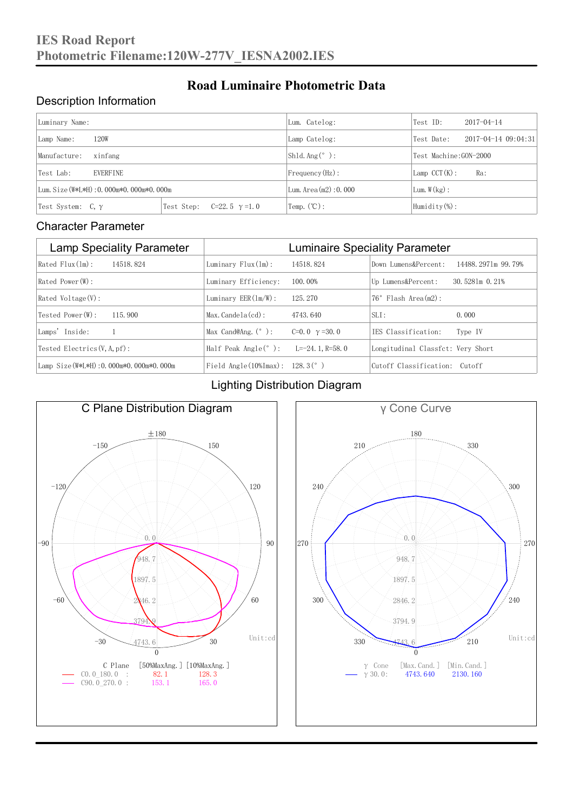### Description Information

| Luminary Name:                          |                                     | Lum. Catelog:                | Test ID:                 | $2017 - 04 - 14$ |  |
|-----------------------------------------|-------------------------------------|------------------------------|--------------------------|------------------|--|
| 120W<br>Lamp Name:                      | Lamp Catelog:                       | Test Date:                   | $2017 - 04 - 1409:04:31$ |                  |  |
| Manufacture:<br>xinfang                 |                                     | Shld. $Ang (°)$ :            | Test Machine: GON-2000   |                  |  |
| <b>EVERFINE</b><br>Test Lab:            |                                     | $Frequency(Hz)$ :            | $Lamp$ CCT(K):           | Ra:              |  |
| Lum. Size (W*L*H): 0.000m*0.000m*0.000m |                                     | Lum. $Area(m2):0.000$        | Lum. $W(kg)$ :           |                  |  |
| Test System: $C, \gamma$                | Test Step:<br>$C=22.5$ $\gamma=1.0$ | $\text{Temp.} (\text{°C})$ : | Humidity $(\%)$ :        |                  |  |

**Road Luminaire Photometric Data**

#### Character Parameter

| <b>Lamp Speciality Parameter</b>        | <b>Luminaire Speciality Parameter</b>                         |                       |                                   |                    |  |
|-----------------------------------------|---------------------------------------------------------------|-----------------------|-----------------------------------|--------------------|--|
| $Rated$ $Flux(ln)$ :<br>14518, 824      | Luminary $Flux(ln)$ :                                         | 14518, 824            | Down Lumens&Percent:              | 14488.2971m 99.79% |  |
| $Rated$ Power $(\mathbb{W})$ :          | Luminary Efficiency:                                          | 100.00%               | Up Lumens&Percent:                | 30.5281m 0.21%     |  |
| $Rated$ Voltage $(V)$ :                 | Luminary $EER(\ln/W)$ :                                       | 125, 270              | $76°$ Flash Area $(m2)$ :         |                    |  |
| Tested Power (W):<br>115, 900           | $Max.Candela(cd)$ :                                           | 4743.640              | $SLI$ :                           | 0.000              |  |
| Lamps' Inside:                          | Max Cand@Ang. $(°)$ :                                         | $C=0.0 \gamma = 30.0$ | TES Classification:               | Type IV            |  |
| Tested Electrics $(V, A, pf)$ :         | Half Peak Angle $(°)$ :                                       | L=-24. 1. R=58. 0     | Longitudinal Classfct: Very Short |                    |  |
| Lamp Size (W*L*H): 0.000m*0.000m*0.000m | Field Angle $(10\text{\%} \text{Im} \text{ax})$ : 128.3 $(°)$ |                       | Cutoff Classification: Cutoff     |                    |  |

#### Lighting Distribution Diagram



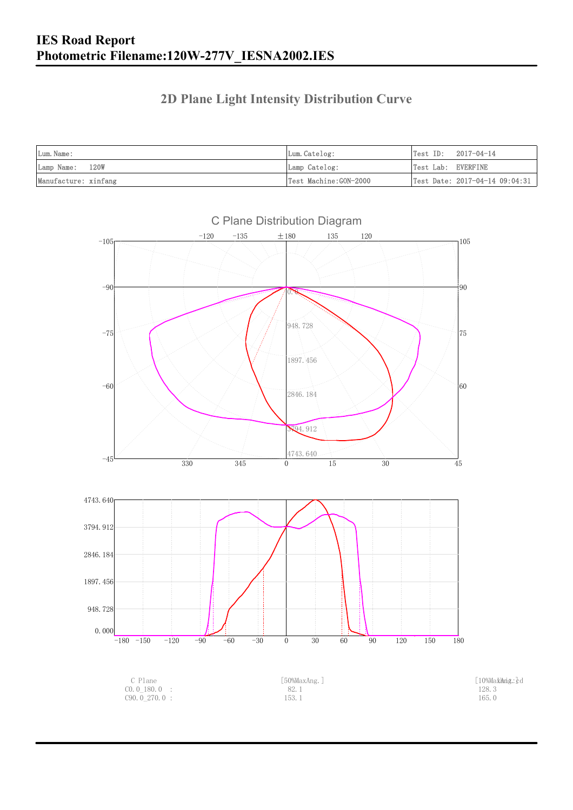### **2D Plane Light Intensity Distribution Curve**

| Lum. Name:           | Lum.Catelog:          | $Test ID: 2017-04-14$ |                                                |
|----------------------|-----------------------|-----------------------|------------------------------------------------|
| Lamp Name: 120W      | Lamp Catelog:         | Test Lab: EVERFINE    |                                                |
| Manufacture: xinfang | Test Machine:GON-2000 |                       | $\vert$ Test Date: 2017-04-14 09:04:31 $\vert$ |

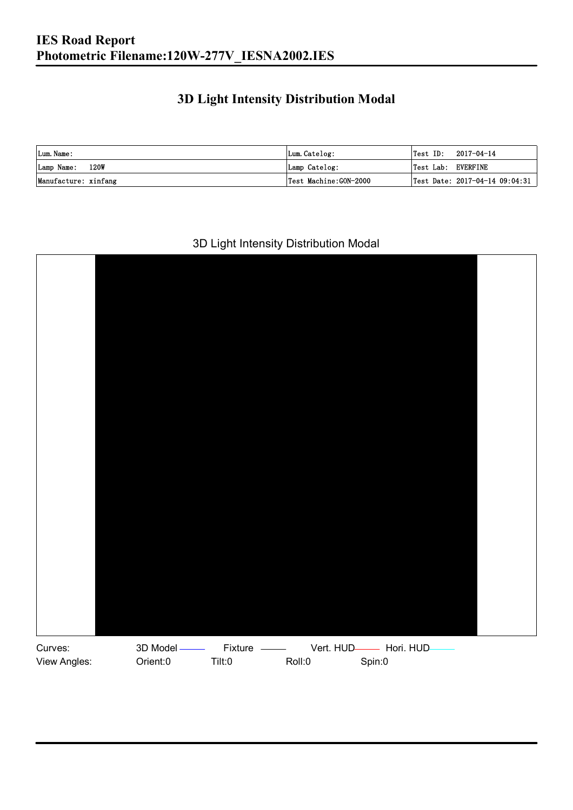### **3D Light Intensity Distribution Modal**

| Lum. Name:                | Lum.Catelog:          | 2017-04-14<br>Test ID:             |
|---------------------------|-----------------------|------------------------------------|
| <b>120W</b><br>Lamp Name: | Lamp Catelog:         | Test Lab: EVERFINE                 |
| Manufacture: xinfang      | Test Machine:GON-2000 | Test Date: $2017-04-14$ $09:04:31$ |

#### 3D Light Intensity Distribution Modal

![](_page_2_Picture_4.jpeg)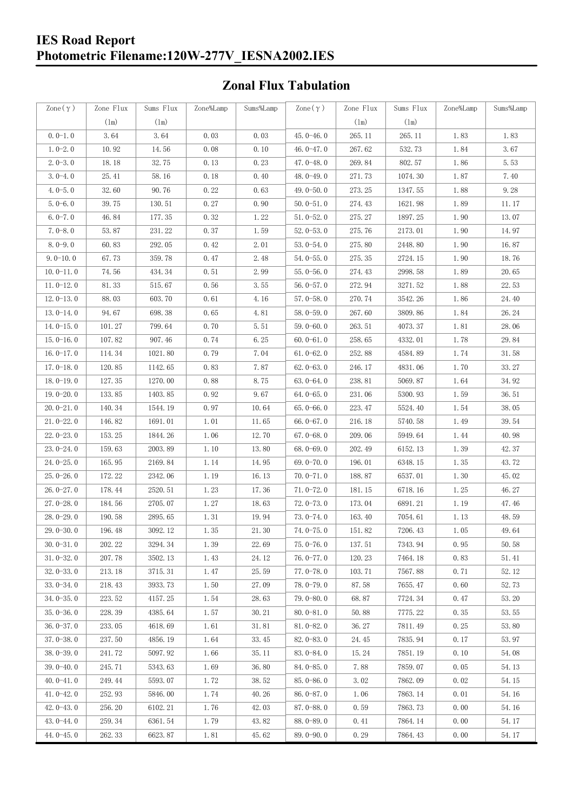#### **IES Road Report Photometric Filename:120W-277V\_IESNA2002.IES**

### **Zonal Flux Tabulation**

| Zone $(\gamma)$ | Zone Flux     | Sums Flux | Zone%Lamp | Sums%Lamp | $\text{Zone}(\gamma)$ | Zone Flux | Sums Flux | Zone%Lamp            | Sums%Lamp |
|-----------------|---------------|-----------|-----------|-----------|-----------------------|-----------|-----------|----------------------|-----------|
|                 | $(\text{lm})$ | (1m)      |           |           |                       | (1m)      | (1m)      |                      |           |
| $0.0-1.0$       | 3.64          | 3.64      | 0.03      | 0.03      | $45.0 - 46.0$         | 265.11    | 265.11    | 1.83                 | 1.83      |
| $1.0 - 2.0$     | 10.92         | 14.56     | 0.08      | 0.10      | 46.0-47.0             | 267.62    | 532.73    | 1.84                 | 3.67      |
| $2.0 - 3.0$     | 18.18         | 32.75     | 0.13      | 0.23      | 47.0-48.0             | 269.84    | 802.57    | 1.86                 | 5.53      |
| $3.0 - 4.0$     | 25.41         | 58.16     | 0.18      | 0.40      | 48.0-49.0             | 271.73    | 1074.30   | 1.87                 | 7.40      |
| $4.0 - 5.0$     | 32.60         | 90.76     | 0.22      | 0.63      | 49.0-50.0             | 273.25    | 1347.55   | 1.88                 | 9.28      |
| $5.0 - 6.0$     | 39.75         | 130.51    | 0.27      | 0.90      | $50.0 - 51.0$         | 274.43    | 1621.98   | 1.89                 | 11.17     |
| $6.0 - 7.0$     | 46.84         | 177.35    | 0.32      | 1.22      | $51.0 - 52.0$         | 275.27    | 1897.25   | 1.90                 | 13.07     |
| $7.0 - 8.0$     | 53.87         | 231.22    | 0.37      | 1.59      | $52.0 - 53.0$         | 275.76    | 2173.01   | 1.90                 | 14.97     |
| $8.0 - 9.0$     | 60.83         | 292.05    | 0.42      | 2.01      | $53.0 - 54.0$         | 275.80    | 2448.80   | 1.90                 | 16.87     |
| $9.0 - 10.0$    | 67.73         | 359.78    | 0.47      | 2.48      | $54.0 - 55.0$         | 275.35    | 2724.15   | 1.90                 | 18.76     |
| $10.0 - 11.0$   | 74.56         | 434.34    | 0.51      | 2.99      | $55.0 - 56.0$         | 274.43    | 2998.58   | 1.89                 | 20.65     |
| $11.0 - 12.0$   | 81.33         | 515.67    | 0.56      | 3.55      | $56.0 - 57.0$         | 272.94    | 3271.52   | 1.88                 | 22.53     |
| $12.0 - 13.0$   | 88.03         | 603.70    | 0.61      | 4.16      | $57.0 - 58.0$         | 270.74    | 3542.26   | 1.86                 | 24.40     |
| $13.0 - 14.0$   | 94.67         | 698.38    | 0.65      | 4.81      | $58.0 - 59.0$         | 267.60    | 3809.86   | 1.84                 | 26.24     |
| $14.0 - 15.0$   | 101.27        | 799.64    | 0.70      | 5.51      | $59.0 - 60.0$         | 263.51    | 4073.37   | 1.81                 | 28.06     |
| $15.0 - 16.0$   | 107.82        | 907.46    | 0.74      | 6.25      | $60.0 - 61.0$         | 258.65    | 4332.01   | 1.78                 | 29.84     |
| $16.0 - 17.0$   | 114.34        | 1021.80   | 0.79      | 7.04      | $61.0 - 62.0$         | 252.88    | 4584.89   | 1.74                 | 31.58     |
| $17.0 - 18.0$   | 120.85        | 1142.65   | 0.83      | 7.87      | $62.0 - 63.0$         | 246.17    | 4831.06   | 1.70                 | 33.27     |
| $18.0 - 19.0$   | 127.35        | 1270.00   | 0.88      | 8.75      | $63.0 - 64.0$         | 238.81    | 5069.87   | 1.64                 | 34.92     |
| $19.0 - 20.0$   | 133.85        | 1403.85   | 0.92      | 9.67      | $64.0 - 65.0$         | 231.06    | 5300.93   | 1.59                 | 36.51     |
| $20.0 - 21.0$   | 140.34        | 1544.19   | 0.97      | 10.64     | $65.0 - 66.0$         | 223.47    | 5524.40   | 1.54                 | 38.05     |
| $21.0 - 22.0$   | 146.82        | 1691.01   | 1.01      | 11.65     | $66.0 - 67.0$         | 216.18    | 5740.58   | 1.49                 | 39.54     |
| $22.0 - 23.0$   | 153.25        | 1844.26   | 1.06      | 12.70     | $67.0 - 68.0$         | 209.06    | 5949.64   | 1.44                 | 40.98     |
| $23.0 - 24.0$   | 159.63        | 2003.89   | 1.10      | 13.80     | $68.0 - 69.0$         | 202.49    | 6152.13   | 1.39                 | 42.37     |
| $24.0 - 25.0$   | 165.95        | 2169.84   | 1.14      | 14.95     | 69.0 $-70.0$          | 196.01    | 6348.15   | 1.35                 | 43.72     |
| $25.0 - 26.0$   | 172.22        | 2342.06   | 1.19      | 16.13     | $70.0 - 71.0$         | 188.87    | 6537.01   | 1.30                 | 45.02     |
| $26.0 - 27.0$   | 178.44        | 2520.51   | 1.23      | 17.36     | $71.0 - 72.0$         | 181.15    | 6718.16   | 1.25                 | 46.27     |
| $27.0 - 28.0$   | 184.56        | 2705.07   | 1.27      | 18.63     | 72.0-73.0             | 173.04    | 6891.21   | 1.19                 | 47.46     |
| $28.0 - 29.0$   | 190.58        | 2895.65   | 1.31      | 19.94     | $73.0 - 74.0$         | 163.40    | 7054.61   | 1.13                 | 48.59     |
| 29.0-30.0       | 196.48        | 3092.12   | 1.35      | 21.30     | 74.0-75.0             | 151.82    | 7206.43   | $1.\,\allowbreak 05$ | 49.64     |
| $30.0 - 31.0$   | 202.22        | 3294.34   | 1.39      | 22.69     | $75.0 - 76.0$         | 137.51    | 7343.94   | 0.95                 | 50.58     |
| $31.0 - 32.0$   | 207.78        | 3502.13   | 1.43      | 24.12     | 76.0-77.0             | 120.23    | 7464.18   | 0.83                 | 51.41     |
| $32.0 - 33.0$   | 213.18        | 3715.31   | 1.47      | 25.59     | $77.0 - 78.0$         | 103.71    | 7567.88   | 0.71                 | 52.12     |
| $33.0 - 34.0$   | 218.43        | 3933.73   | 1.50      | 27.09     | 78.0-79.0             | 87.58     | 7655.47   | 0.60                 | 52.73     |
| $34.0 - 35.0$   | 223.52        | 4157.25   | 1.54      | 28.63     | $79.0 - 80.0$         | 68.87     | 7724.34   | 0.47                 | 53.20     |
| $35.0 - 36.0$   | 228.39        | 4385.64   | 1.57      | 30.21     | $80.0 - 81.0$         | 50.88     | 7775.22   | 0.35                 | 53.55     |
| $36.0 - 37.0$   | 233.05        | 4618.69   | 1.61      | 31.81     | $81.0 - 82.0$         | 36.27     | 7811.49   | 0.25                 | 53.80     |
| $37.0 - 38.0$   | 237.50        | 4856.19   | 1.64      | 33.45     | $82.0 - 83.0$         | 24.45     | 7835.94   | 0.17                 | 53.97     |
| $38.0 - 39.0$   | 241.72        | 5097.92   | 1.66      | 35.11     | 83.0-84.0             | 15.24     | 7851.19   | 0.10                 | 54.08     |
| $39.0 - 40.0$   | 245.71        | 5343.63   | 1.69      | 36.80     | 84.0-85.0             | 7.88      | 7859.07   | 0.05                 | 54.13     |
| $40.0 - 41.0$   | 249.44        | 5593.07   | 1.72      | 38.52     | 85.0-86.0             | 3.02      | 7862.09   | 0.02                 | 54.15     |
| $41.0 - 42.0$   | 252.93        | 5846.00   | 1.74      | 40.26     | $86.0 - 87.0$         | 1.06      | 7863.14   | 0.01                 | 54.16     |
| $42.0 - 43.0$   | 256.20        | 6102.21   | 1.76      | 42.03     | 87.0-88.0             | 0.59      | 7863.73   | 0.00                 | 54.16     |
| $43.0 - 44.0$   | 259.34        | 6361.54   | 1.79      | 43.82     | 88.0-89.0             | 0.41      | 7864.14   | 0.00                 | 54.17     |
| $44.0 - 45.0$   | 262.33        | 6623.87   | 1.81      | 45.62     | $89.0 - 90.0$         | 0.29      | 7864.43   | 0.00                 | 54.17     |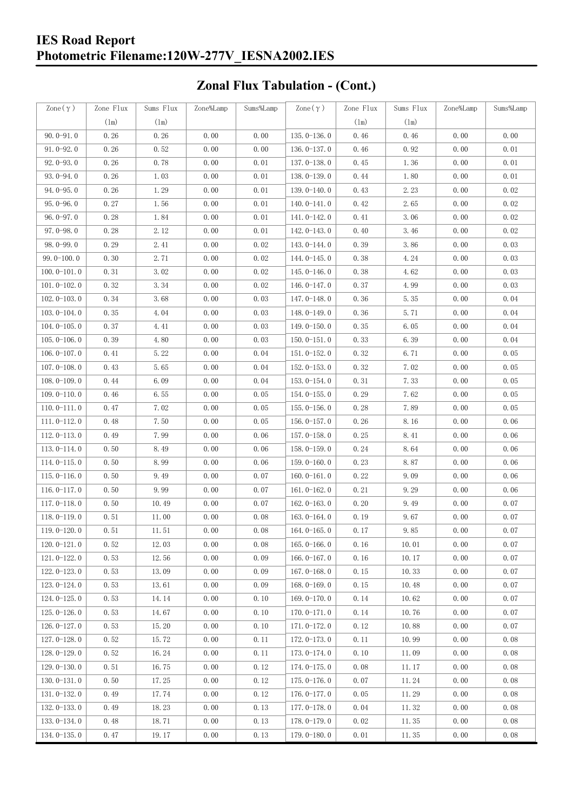#### **IES Road Report Photometric Filename:120W-277V\_IESNA2002.IES**

# **Zonal Flux Tabulation - (Cont.)**

| Zone $(\gamma)$ | Zone Flux | Sums Flux | Zone%Lamp | Sums%Lamp | Zone $(\gamma)$ | Zone Flux | Sums Flux            | Zone%Lamp | Sums%Lamp |
|-----------------|-----------|-----------|-----------|-----------|-----------------|-----------|----------------------|-----------|-----------|
|                 | (1m)      | (1m)      |           |           |                 | (1m)      | (1m)                 |           |           |
| $90.0 - 91.0$   | 0.26      | 0.26      | 0.00      | 0.00      | $135.0 - 136.0$ | 0.46      | 0.46                 | 0.00      | 0.00      |
| $91.0 - 92.0$   | 0.26      | 0.52      | 0.00      | 0.00      | $136.0 - 137.0$ | 0.46      | 0.92                 | 0.00      | 0.01      |
| $92.0 - 93.0$   | 0.26      | 0.78      | 0.00      | 0.01      | 137.0-138.0     | 0.45      | 1.36                 | 0.00      | 0.01      |
| $93.0 - 94.0$   | 0.26      | 1.03      | 0.00      | 0.01      | 138.0-139.0     | 0.44      | 1.80                 | 0.00      | 0.01      |
| $94.0 - 95.0$   | 0.26      | 1.29      | 0.00      | 0.01      | 139.0-140.0     | 0.43      | 2.23                 | 0.00      | 0.02      |
| $95.0 - 96.0$   | 0.27      | 1.56      | 0.00      | 0.01      | $140.0 - 141.0$ | 0.42      | 2.65                 | 0.00      | 0.02      |
| $96.0 - 97.0$   | 0.28      | 1.84      | 0.00      | 0.01      | 141.0-142.0     | 0.41      | 3.06                 | 0.00      | 0.02      |
| $97.0 - 98.0$   | 0.28      | 2.12      | 0.00      | 0.01      | 142.0-143.0     | 0.40      | 3.46                 | 0.00      | 0.02      |
| $98.0 - 99.0$   | 0.29      | 2.41      | 0.00      | 0.02      | 143.0-144.0     | 0.39      | 3.86                 | 0.00      | 0.03      |
| $99.0 - 100.0$  | 0.30      | 2.71      | 0.00      | 0.02      | $144.0 - 145.0$ | 0.38      | 4.24                 | 0.00      | 0.03      |
| $100.0 - 101.0$ | 0.31      | 3.02      | 0.00      | 0.02      | $145.0 - 146.0$ | 0.38      | 4.62                 | 0.00      | 0.03      |
| $101.0 - 102.0$ | 0.32      | 3.34      | 0.00      | 0.02      | $146.0 - 147.0$ | 0.37      | 4.99                 | 0.00      | 0.03      |
| $102.0 - 103.0$ | 0.34      | 3.68      | 0.00      | 0.03      | 147.0-148.0     | 0.36      | 5.35                 | 0.00      | 0.04      |
| $103.0 - 104.0$ | 0.35      | 4.04      | 0.00      | 0.03      | 148.0-149.0     | 0.36      | 5.71                 | 0.00      | 0.04      |
| $104.0 - 105.0$ | 0.37      | 4.41      | 0.00      | 0.03      | $149.0 - 150.0$ | 0.35      | 6.05                 | 0.00      | 0.04      |
| $105.0 - 106.0$ | 0.39      | 4.80      | 0.00      | 0.03      | $150.0 - 151.0$ | 0.33      | 6.39                 | 0.00      | 0.04      |
| $106.0 - 107.0$ | 0.41      | 5.22      | 0.00      | 0.04      | $151.0 - 152.0$ | 0.32      | 6.71                 | 0.00      | 0.05      |
| $107.0 - 108.0$ | 0.43      | 5.65      | 0.00      | 0.04      | $152.0 - 153.0$ | 0.32      | 7.02                 | 0.00      | 0.05      |
| $108.0 - 109.0$ | 0.44      | 6.09      | 0.00      | 0.04      | $153.0 - 154.0$ | 0.31      | 7.33                 | 0.00      | 0.05      |
| $109.0 - 110.0$ | 0.46      | 6.55      | 0.00      | 0.05      | 154.0-155.0     | 0.29      | 7.62                 | 0.00      | 0.05      |
| $110.0 - 111.0$ | 0.47      | 7.02      | 0.00      | 0.05      | $155.0 - 156.0$ | 0.28      | 7.89                 | 0.00      | 0.05      |
| $111.0 - 112.0$ | 0.48      | 7.50      | 0.00      | 0.05      | $156.0 - 157.0$ | 0.26      | 8.16                 | 0.00      | 0.06      |
| $112.0 - 113.0$ | 0.49      | 7.99      | 0.00      | 0.06      | $157.0 - 158.0$ | 0.25      | 8.41                 | 0.00      | 0.06      |
| $113.0 - 114.0$ | 0.50      | 8.49      | 0.00      | 0.06      | $158.0 - 159.0$ | 0.24      | 8.64                 | 0.00      | 0.06      |
| $114.0 - 115.0$ | 0.50      | 8.99      | 0.00      | 0.06      | $159.0 - 160.0$ | 0.23      | 8.87                 | 0.00      | 0.06      |
| $115.0 - 116.0$ | 0.50      | 9.49      | 0.00      | 0.07      | $160.0 - 161.0$ | 0.22      | 9.09                 | 0.00      | 0.06      |
| $116.0 - 117.0$ | 0.50      | 9.99      | 0.00      | 0.07      | $161.0 - 162.0$ | 0.21      | 9.29                 | 0.00      | 0.06      |
| $117.0 - 118.0$ | 0.50      | 10.49     | 0.00      | 0.07      | $162.0 - 163.0$ | 0.20      | 9.49                 | 0.00      | 0.07      |
| $118.0 - 119.0$ | 0.51      | 11.00     | 0.00      | 0.08      | $163.0 - 164.0$ | 0.19      | 9.67                 | 0.00      | 0.07      |
| $119.0 - 120.0$ | 0.51      | 11.51     | 0.00      | 0.08      | $164.0 - 165.0$ | 0.17      | $9.\,\allowbreak 85$ | 0.00      | 0.07      |
| $120.0 - 121.0$ | 0.52      | 12.03     | 0.00      | 0.08      | $165.0 - 166.0$ | 0.16      | 10.01                | 0.00      | 0.07      |
| $121.0 - 122.0$ | 0.53      | 12.56     | 0.00      | 0.09      | $166.0 - 167.0$ | 0.16      | 10.17                | 0.00      | 0.07      |
| $122.0 - 123.0$ | 0.53      | 13.09     | 0.00      | 0.09      | $167.0 - 168.0$ | 0.15      | 10.33                | 0.00      | 0.07      |
| $123.0 - 124.0$ | 0.53      | 13.61     | 0.00      | 0.09      | $168.0 - 169.0$ | 0.15      | 10.48                | 0.00      | 0.07      |
| $124.0 - 125.0$ | 0.53      | 14.14     | 0.00      | 0.10      | 169.0-170.0     | 0.14      | 10.62                | 0.00      | 0.07      |
| $125.0 - 126.0$ | 0.53      | 14.67     | 0.00      | 0.10      | $170.0 - 171.0$ | 0.14      | 10.76                | 0.00      | 0.07      |
| $126.0 - 127.0$ | 0.53      | 15.20     | 0.00      | 0.10      | 171.0-172.0     | 0.12      | 10.88                | 0.00      | 0.07      |
| $127.0 - 128.0$ | 0.52      | 15.72     | 0.00      | 0.11      | 172.0-173.0     | 0.11      | 10.99                | 0.00      | 0.08      |
| 128.0-129.0     | 0.52      | 16.24     | 0.00      | 0.11      | 173.0-174.0     | 0.10      | 11.09                | 0.00      | 0.08      |
| $129.0 - 130.0$ | 0.51      | 16.75     | 0.00      | 0.12      | 174.0-175.0     | 0.08      | 11.17                | 0.00      | 0.08      |
| $130.0 - 131.0$ | 0.50      | 17.25     | 0.00      | 0.12      | $175.0 - 176.0$ | 0.07      | 11.24                | 0.00      | 0.08      |
| $131.0 - 132.0$ | 0.49      | 17.74     | 0.00      | 0.12      | $176.0 - 177.0$ | 0.05      | 11.29                | 0.00      | 0.08      |
| $132.0 - 133.0$ | 0.49      | 18.23     | 0.00      | 0.13      | 177.0-178.0     | 0.04      | 11.32                | 0.00      | 0.08      |
| $133.0 - 134.0$ | 0.48      | 18.71     | 0.00      | 0.13      | 178.0-179.0     | 0.02      | 11.35                | 0.00      | 0.08      |
| $134.0 - 135.0$ | 0.47      | 19.17     | 0.00      | 0.13      | $179.0 - 180.0$ | 0.01      | 11.35                | 0.00      | 0.08      |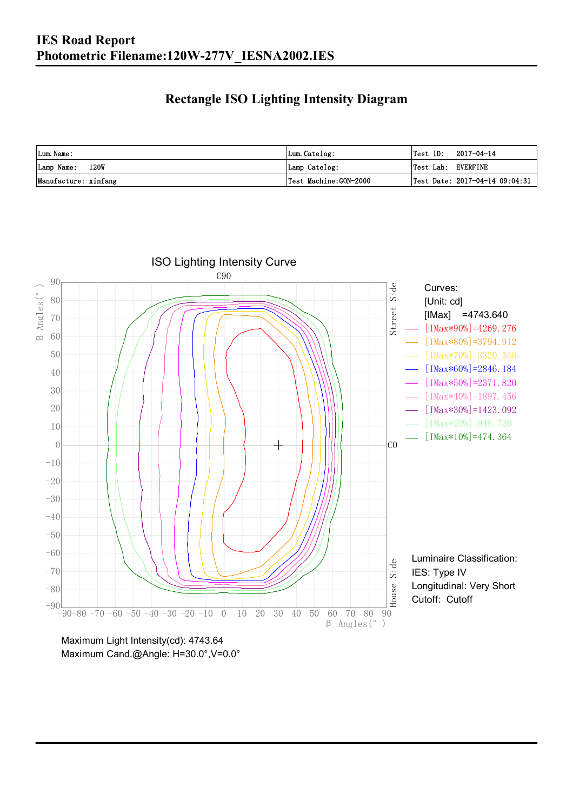### **Rectangle ISO Lighting Intensity Diagram**

| Lum. Name:           | Lum.Catelog:          | $\textsf{Test ID:} \quad 2017-04-14$ |
|----------------------|-----------------------|--------------------------------------|
| Lamp Name: 120W      | Lamp Catelog:         | Test Lab: EVERFINE                   |
| Manufacture: xinfang | Test Machine:GON-2000 | Test Date: $2017-04-14$ $09:04:31$   |

![](_page_5_Figure_3.jpeg)

Maximum Cand.@Angle: H=30.0°,V=0.0°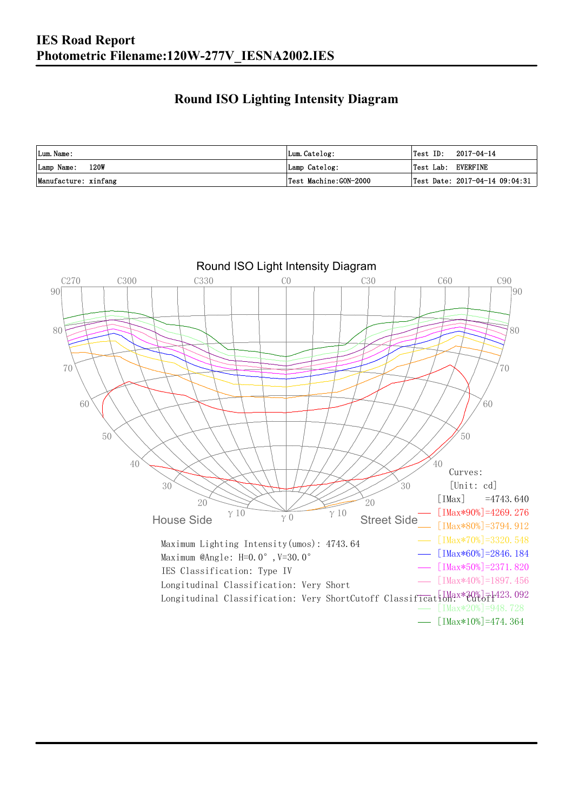### **Round ISO Lighting Intensity Diagram**

| Lum. Name:           | Lum.Catelog:          | Test ID:<br>2017-04-14                         |
|----------------------|-----------------------|------------------------------------------------|
| Lamp Name: 120W      | Lamp Catelog:         | Test Lab: EVERFINE                             |
| Manufacture: xinfang | Test Machine:GON-2000 | $\vert$ Test Date: 2017-04-14 09:04:31 $\vert$ |

![](_page_6_Figure_3.jpeg)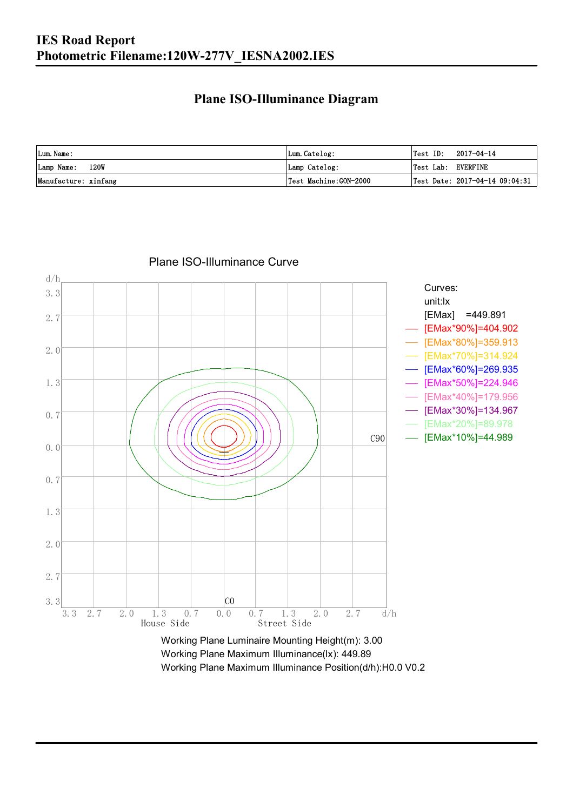### **Plane ISO-Illuminance Diagram**

| Lum. Name:           | Lum.Catelog:          | $\textsf{Test ID:} \quad 2017-04-14$           |
|----------------------|-----------------------|------------------------------------------------|
| 120W<br>Lamp Name:   | Lamp Catelog:         | Test Lab: EVERFINE                             |
| Manufacture: xinfang | Test Machine:GON-2000 | $\vert$ Test Date: 2017-04-14 09:04:31 $\vert$ |

![](_page_7_Figure_3.jpeg)

#### Plane ISO-Illuminance Curve

Working Plane Maximum Illuminance(lx): 449.89 Working Plane Maximum Illuminance Position(d/h):H0.0 V0.2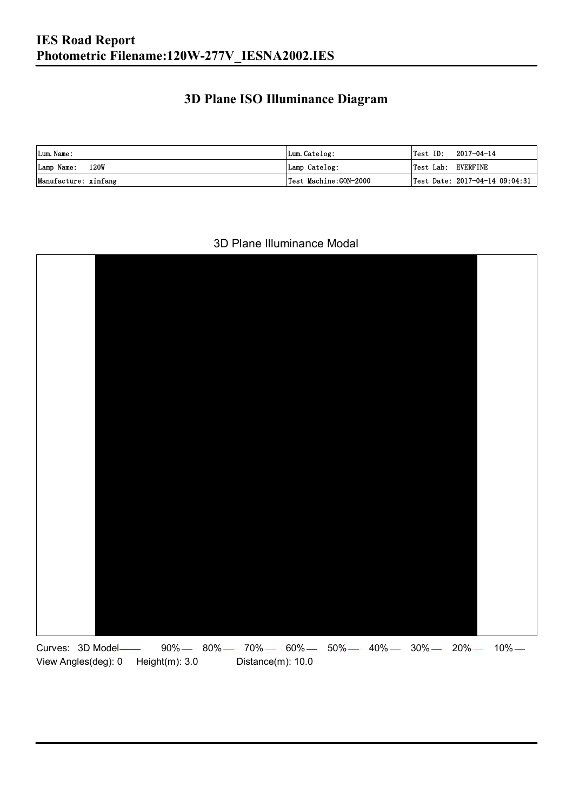### **3D Plane ISO Illuminance Diagram**

| Lum. Name:           | Lum.Catelog:          | $\textsf{Test ID:} \quad 2017-04-14$ |                                |
|----------------------|-----------------------|--------------------------------------|--------------------------------|
| Lamp Name: 120W      | Lamp Catelog:         | Test Lab: EVERFINE                   |                                |
| Manufacture: xinfang | Test Machine:GON-2000 |                                      | Test Date: 2017-04-14 09:04:31 |

#### 3D Plane Illuminance Modal

![](_page_8_Figure_4.jpeg)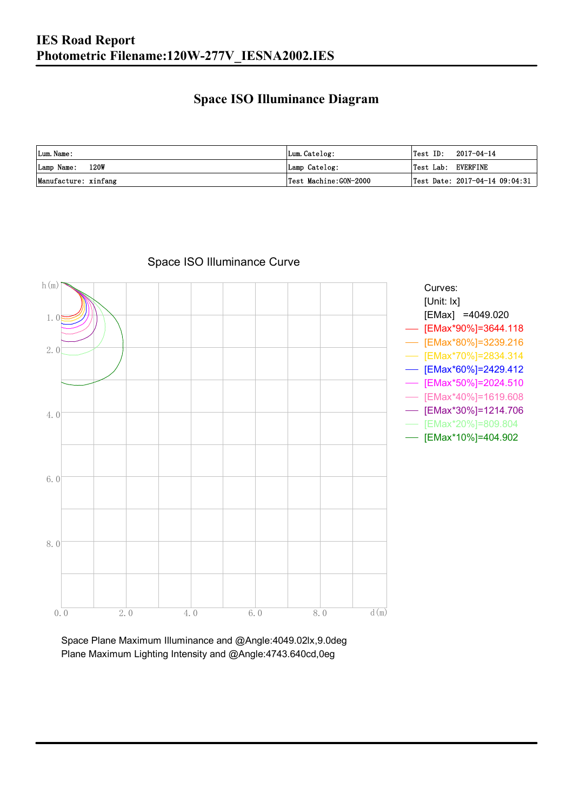### **Space ISO Illuminance Diagram**

| Lum. Name:           | Lum.Catelog:          | $\textsf{Test ID:} \quad 2017-04-14$           |
|----------------------|-----------------------|------------------------------------------------|
| 120W<br>Lamp Name:   | Lamp Catelog:         | Test Lab: EVERFINE                             |
| Manufacture: xinfang | Test Machine:GON-2000 | $\vert$ Test Date: 2017-04-14 09:04:31 $\vert$ |

![](_page_9_Figure_3.jpeg)

Space ISO Illuminance Curve

Space Plane Maximum Illuminance and @Angle:4049.02lx,9.0deg Plane Maximum Lighting Intensity and @Angle:4743.640cd,0eg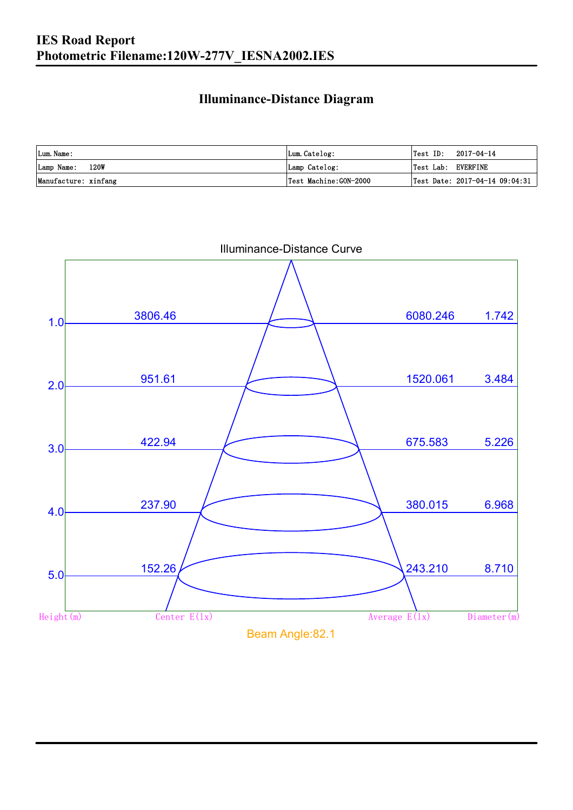### **Illuminance-Distance Diagram**

| Lum. Name:           | Lum.Catelog:           |                    | $Test ID: 2017-04-14$          |
|----------------------|------------------------|--------------------|--------------------------------|
| 120W<br>Lamp Name:   | Lamp Catelog:          | Test Lab: EVERFINE |                                |
| Manufacture: xinfang | 'Test Machine:GON-2000 |                    | Test Date: 2017-04-14 09:04:31 |

![](_page_10_Figure_3.jpeg)

Illuminance-Distance Curve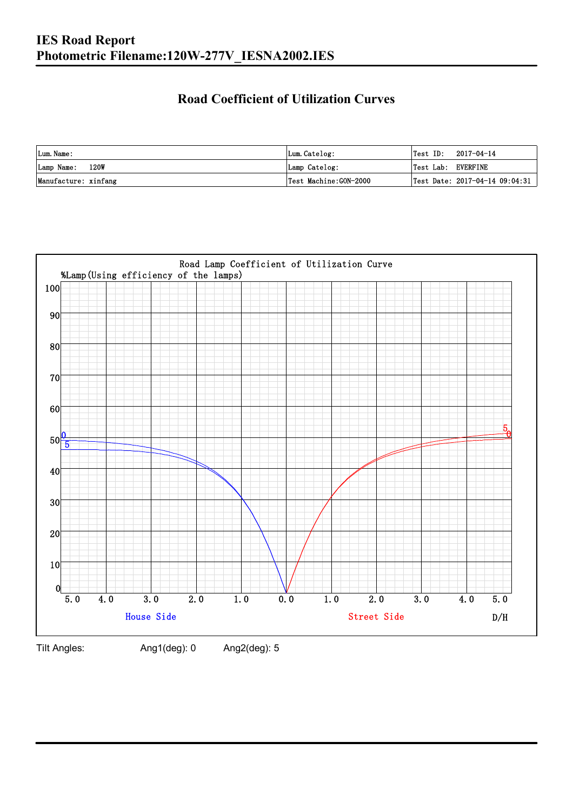### **Road Coefficient of Utilization Curves**

| Lum. Name:           | Lum.Catelog:          | Test ID:           | 2017-04-14                     |
|----------------------|-----------------------|--------------------|--------------------------------|
| Lamp Name: 120W      | Lamp Catelog:         | Test Lab: EVERFINE |                                |
| Manufacture: xinfang | Test Machine:GON-2000 |                    | Test Date: 2017-04-14 09:04:31 |

![](_page_11_Figure_3.jpeg)

Tilt Angles: Ang1(deg): 0 Ang2(deg): 5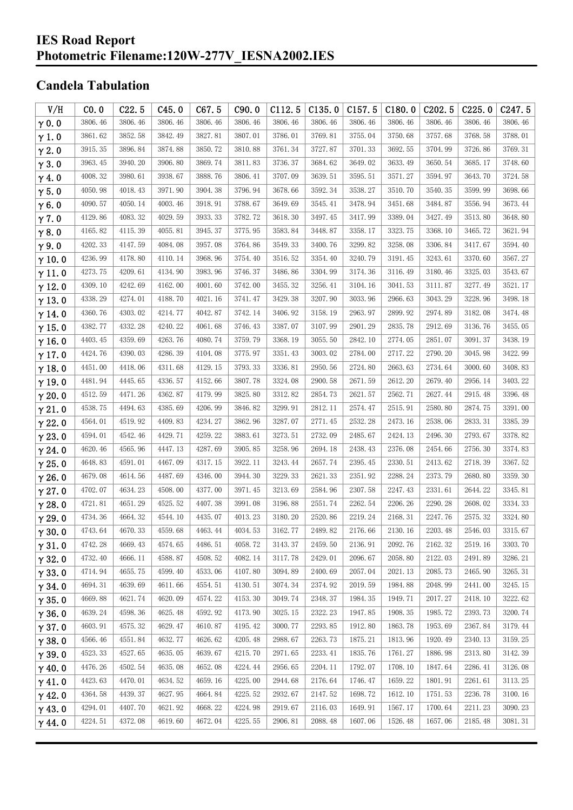#### **IES Road Report Photometric Filename:120W-277V\_IESNA2002.IES**

### **Candela Tabulation**

| V/H           | CO.0    | C22.5   | C45.0   | C67.5   | C90.0   | C112.5  | C135.0  | C157.5  | C180.0  | C <sub>202.5</sub> | C225.0  | C <sub>247.5</sub> |
|---------------|---------|---------|---------|---------|---------|---------|---------|---------|---------|--------------------|---------|--------------------|
| $\gamma$ 0.0  | 3806.46 | 3806.46 | 3806.46 | 3806.46 | 3806.46 | 3806.46 | 3806.46 | 3806.46 | 3806.46 | 3806.46            | 3806.46 | 3806.46            |
| $\gamma$ 1.0  | 3861.62 | 3852.58 | 3842.49 | 3827.81 | 3807.01 | 3786.01 | 3769.81 | 3755.04 | 3750.68 | 3757.68            | 3768.58 | 3788.01            |
| $\gamma$ 2.0  | 3915.35 | 3896.84 | 3874.88 | 3850.72 | 3810.88 | 3761.34 | 3727.87 | 3701.33 | 3692.55 | 3704.99            | 3726.86 | 3769.31            |
| $\gamma$ 3.0  | 3963.45 | 3940.20 | 3906.80 | 3869.74 | 3811.83 | 3736.37 | 3684.62 | 3649.02 | 3633.49 | 3650.54            | 3685.17 | 3748.60            |
| $\gamma$ 4.0  | 4008.32 | 3980.61 | 3938.67 | 3888.76 | 3806.41 | 3707.09 | 3639.51 | 3595.51 | 3571.27 | 3594.97            | 3643.70 | 3724.58            |
| $\gamma$ 5.0  | 4050.98 | 4018.43 | 3971.90 | 3904.38 | 3796.94 | 3678.66 | 3592.34 | 3538.27 | 3510.70 | 3540.35            | 3599.99 | 3698.66            |
| $\gamma$ 6.0  | 4090.57 | 4050.14 | 4003.46 | 3918.91 | 3788.67 | 3649.69 | 3545.41 | 3478.94 | 3451.68 | 3484.87            | 3556.94 | 3673.44            |
| $\gamma$ 7.0  | 4129.86 | 4083.32 | 4029.59 | 3933.33 | 3782.72 | 3618.30 | 3497.45 | 3417.99 | 3389.04 | 3427.49            | 3513.80 | 3648.80            |
| $\gamma$ 8.0  | 4165.82 | 4115.39 | 4055.81 | 3945.37 | 3775.95 | 3583.84 | 3448.87 | 3358.17 | 3323.75 | 3368.10            | 3465.72 | 3621.94            |
| $\gamma$ 9.0  | 4202.33 | 4147.59 | 4084.08 | 3957.08 | 3764.86 | 3549.33 | 3400.76 | 3299.82 | 3258.08 | 3306.84            | 3417.67 | 3594.40            |
| $\gamma$ 10.0 | 4236.99 | 4178.80 | 4110.14 | 3968.96 | 3754.40 | 3516.52 | 3354.40 | 3240.79 | 3191.45 | 3243.61            | 3370.60 | 3567.27            |
| $\gamma$ 11.0 | 4273.75 | 4209.61 | 4134.90 | 3983.96 | 3746.37 | 3486.86 | 3304.99 | 3174.36 | 3116.49 | 3180.46            | 3325.03 | 3543.67            |
| $\gamma$ 12.0 | 4309.10 | 4242.69 | 4162.00 | 4001.60 | 3742.00 | 3455.32 | 3256.41 | 3104.16 | 3041.53 | 3111.87            | 3277.49 | 3521.17            |
| $\gamma$ 13.0 | 4338.29 | 4274.01 | 4188.70 | 4021.16 | 3741.47 | 3429.38 | 3207.90 | 3033.96 | 2966.63 | 3043.29            | 3228.96 | 3498.18            |
| $\gamma$ 14.0 | 4360.76 | 4303.02 | 4214.77 | 4042.87 | 3742.14 | 3406.92 | 3158.19 | 2963.97 | 2899.92 | 2974.89            | 3182.08 | 3474.48            |
| $\gamma$ 15.0 | 4382.77 | 4332.28 | 4240.22 | 4061.68 | 3746.43 | 3387.07 | 3107.99 | 2901.29 | 2835.78 | 2912.69            | 3136.76 | 3455.05            |
| $\gamma$ 16.0 | 4403.45 | 4359.69 | 4263.76 | 4080.74 | 3759.79 | 3368.19 | 3055.50 | 2842.10 | 2774.05 | 2851.07            | 3091.37 | 3438.19            |
| $\gamma$ 17.0 | 4424.76 | 4390.03 | 4286.39 | 4104.08 | 3775.97 | 3351.43 | 3003.02 | 2784.00 | 2717.22 | 2790.20            | 3045.98 | 3422.99            |
| $\gamma$ 18.0 | 4451.00 | 4418.06 | 4311.68 | 4129.15 | 3793.33 | 3336.81 | 2950.56 | 2724.80 | 2663.63 | 2734.64            | 3000.60 | 3408.83            |
| $\gamma$ 19.0 | 4481.94 | 4445.65 | 4336.57 | 4152.66 | 3807.78 | 3324.08 | 2900.58 | 2671.59 | 2612.20 | 2679.40            | 2956.14 | 3403.22            |
| $\gamma$ 20.0 | 4512.59 | 4471.26 | 4362.87 | 4179.99 | 3825.80 | 3312.82 | 2854.73 | 2621.57 | 2562.71 | 2627.44            | 2915.48 | 3396.48            |
| $\gamma$ 21.0 | 4538.75 | 4494.63 | 4385.69 | 4206.99 | 3846.82 | 3299.91 | 2812.11 | 2574.47 | 2515.91 | 2580.80            | 2874.75 | 3391.00            |
| $\gamma$ 22.0 | 4564.01 | 4519.92 | 4409.83 | 4234.27 | 3862.96 | 3287.07 | 2771.45 | 2532.28 | 2473.16 | 2538.06            | 2833.31 | 3385.39            |
| $\gamma$ 23.0 | 4594.01 | 4542.46 | 4429.71 | 4259.22 | 3883.61 | 3273.51 | 2732.09 | 2485.67 | 2424.13 | 2496.30            | 2793.67 | 3378.82            |
| $\gamma$ 24.0 | 4620.46 | 4565.96 | 4447.13 | 4287.69 | 3905.85 | 3258.96 | 2694.18 | 2438.43 | 2376.08 | 2454.66            | 2756.30 | 3374.83            |
| $\gamma$ 25.0 | 4648.83 | 4591.01 | 4467.09 | 4317.15 | 3922.11 | 3243.44 | 2657.74 | 2395.45 | 2330.51 | 2413.62            | 2718.39 | 3367.52            |
| $\gamma$ 26.0 | 4679.08 | 4614.56 | 4487.69 | 4346.00 | 3944.30 | 3229.33 | 2621.33 | 2351.92 | 2288.24 | 2373.79            | 2680.80 | 3359.30            |
| $\gamma$ 27.0 | 4702.07 | 4634.23 | 4508.00 | 4377.00 | 3971.45 | 3213.69 | 2584.96 | 2307.58 | 2247.43 | 2331.61            | 2644.22 | 3345.81            |
| $\gamma$ 28.0 | 4721.81 | 4651.29 | 4525.52 | 4407.38 | 3991.08 | 3196.88 | 2551.74 | 2262.54 | 2206.26 | 2290.28            | 2608.02 | 3334.33            |
| $\gamma$ 29.0 | 4734.36 | 4664.32 | 4544.10 | 4435.07 | 4013.23 | 3180.20 | 2520.86 | 2219.24 | 2168.31 | 2247.76            | 2575.32 | 3324.80            |
| $\gamma$ 30.0 | 4743.64 | 4670.33 | 4559.68 | 4463.44 | 4034.53 | 3162.77 | 2489.82 | 2176.66 | 2130.16 | 2203.48            | 2546.03 | 3315.67            |
| $\gamma$ 31.0 | 4742.28 | 4669.43 | 4574.65 | 4486.51 | 4058.72 | 3143.37 | 2459.50 | 2136.91 | 2092.76 | 2162.32            | 2519.16 | 3303.70            |
| $\gamma$ 32.0 | 4732.40 | 4666.11 | 4588.87 | 4508.52 | 4082.14 | 3117.78 | 2429.01 | 2096.67 | 2058.80 | 2122.03            | 2491.89 | 3286.21            |
| $\gamma$ 33.0 | 4714.94 | 4655.75 | 4599.40 | 4533.06 | 4107.80 | 3094.89 | 2400.69 | 2057.04 | 2021.13 | 2085.73            | 2465.90 | 3265.31            |
| $\gamma$ 34.0 | 4694.31 | 4639.69 | 4611.66 | 4554.51 | 4130.51 | 3074.34 | 2374.92 | 2019.59 | 1984.88 | 2048.99            | 2441.00 | 3245.15            |
| $\gamma$ 35.0 | 4669.88 | 4621.74 | 4620.09 | 4574.22 | 4153.30 | 3049.74 | 2348.37 | 1984.35 | 1949.71 | 2017.27            | 2418.10 | 3222.62            |
| $\gamma$ 36.0 | 4639.24 | 4598.36 | 4625.48 | 4592.92 | 4173.90 | 3025.15 | 2322.23 | 1947.85 | 1908.35 | 1985.72            | 2393.73 | 3200.74            |
| $\gamma$ 37.0 | 4603.91 | 4575.32 | 4629.47 | 4610.87 | 4195.42 | 3000.77 | 2293.85 | 1912.80 | 1863.78 | 1953.69            | 2367.84 | 3179.44            |
| $\gamma$ 38.0 | 4566.46 | 4551.84 | 4632.77 | 4626.62 | 4205.48 | 2988.67 | 2263.73 | 1875.21 | 1813.96 | 1920.49            | 2340.13 | 3159.25            |
| $\gamma$ 39.0 | 4523.33 | 4527.65 | 4635.05 | 4639.67 | 4215.70 | 2971.65 | 2233.41 | 1835.76 | 1761.27 | 1886.98            | 2313.80 | 3142.39            |
| $\gamma$ 40.0 | 4476.26 | 4502.54 | 4635.08 | 4652.08 | 4224.44 | 2956.65 | 2204.11 | 1792.07 | 1708.10 | 1847.64            | 2286.41 | 3126.08            |
| $\gamma$ 41.0 | 4423.63 | 4470.01 | 4634.52 | 4659.16 | 4225.00 | 2944.68 | 2176.64 | 1746.47 | 1659.22 | 1801.91            | 2261.61 | 3113.25            |
| $\gamma$ 42.0 | 4364.58 | 4439.37 | 4627.95 | 4664.84 | 4225.52 | 2932.67 | 2147.52 | 1698.72 | 1612.10 | 1751.53            | 2236.78 | 3100.16            |
| $\gamma$ 43.0 | 4294.01 | 4407.70 | 4621.92 | 4668.22 | 4224.98 | 2919.67 | 2116.03 | 1649.91 | 1567.17 | 1700.64            | 2211.23 | 3090.23            |
| $\gamma$ 44.0 | 4224.51 | 4372.08 | 4619.60 | 4672.04 | 4225.55 | 2906.81 | 2088.48 | 1607.06 | 1526.48 | 1657.06            | 2185.48 | 3081.31            |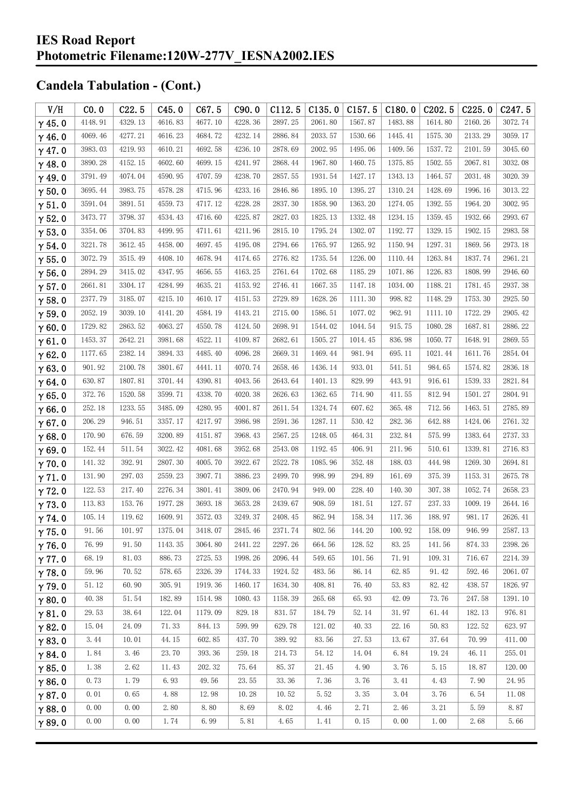| V/H           | CO.0                 | C22.5   | C45.0   | C67.5   | C90.0   | C112.5  | C135.0     | C157.5  | C180.0  | C <sub>202.5</sub> | C225.0  | C <sub>247.5</sub> |
|---------------|----------------------|---------|---------|---------|---------|---------|------------|---------|---------|--------------------|---------|--------------------|
| $\gamma$ 45.0 | 4148.91              | 4329.13 | 4616.83 | 4677.10 | 4228.36 | 2897.25 | 2061.80    | 1567.87 | 1483.88 | 1614.80            | 2160.26 | 3072.74            |
| $\gamma$ 46.0 | 4069.46              | 4277.21 | 4616.23 | 4684.72 | 4232.14 | 2886.84 | 2033.57    | 1530.66 | 1445.41 | 1575.30            | 2133.29 | 3059.17            |
| $\gamma$ 47.0 | 3983.03              | 4219.93 | 4610.21 | 4692.58 | 4236.10 | 2878.69 | 2002.95    | 1495.06 | 1409.56 | 1537.72            | 2101.59 | 3045.60            |
| $\gamma$ 48.0 | 3890.28              | 4152.15 | 4602.60 | 4699.15 | 4241.97 | 2868.44 | 1967.80    | 1460.75 | 1375.85 | 1502.55            | 2067.81 | 3032.08            |
| $\gamma$ 49.0 | 3791.49              | 4074.04 | 4590.95 | 4707.59 | 4238.70 | 2857.55 | 1931.54    | 1427.17 | 1343.13 | 1464.57            | 2031.48 | 3020.39            |
| $\gamma$ 50.0 | 3695.44              | 3983.75 | 4578.28 | 4715.96 | 4233.16 | 2846.86 | 1895.10    | 1395.27 | 1310.24 | 1428.69            | 1996.16 | 3013.22            |
| $\gamma$ 51.0 | 3591.04              | 3891.51 | 4559.73 | 4717.12 | 4228.28 | 2837.30 | 1858.90    | 1363.20 | 1274.05 | 1392.55            | 1964.20 | 3002.95            |
| $\gamma$ 52.0 | 3473.77              | 3798.37 | 4534.43 | 4716.60 | 4225.87 | 2827.03 | 1825.13    | 1332.48 | 1234.15 | 1359.45            | 1932.66 | 2993.67            |
| $\gamma$ 53.0 | 3354.06              | 3704.83 | 4499.95 | 4711.61 | 4211.96 | 2815.10 | 1795.24    | 1302.07 | 1192.77 | 1329.15            | 1902.15 | 2983.58            |
| $\gamma$ 54.0 | 3221.78              | 3612.45 | 4458.00 | 4697.45 | 4195.08 | 2794.66 | 1765.97    | 1265.92 | 1150.94 | 1297.31            | 1869.56 | 2973.18            |
| $\gamma$ 55.0 | 3072.79              | 3515.49 | 4408.10 | 4678.94 | 4174.65 | 2776.82 | 1735.54    | 1226.00 | 1110.44 | 1263.84            | 1837.74 | 2961.21            |
| $\gamma$ 56.0 | 2894.29              | 3415.02 | 4347.95 | 4656.55 | 4163.25 | 2761.64 | 1702.68    | 1185.29 | 1071.86 | 1226.83            | 1808.99 | 2946.60            |
| $\gamma$ 57.0 | 2661.81              | 3304.17 | 4284.99 | 4635.21 | 4153.92 | 2746.41 | 1667.35    | 1147.18 | 1034.00 | 1188.21            | 1781.45 | 2937.38            |
| $\gamma$ 58.0 | 2377.79              | 3185.07 | 4215.10 | 4610.17 | 4151.53 | 2729.89 | 1628.26    | 1111.30 | 998.82  | 1148.29            | 1753.30 | 2925.50            |
| $\gamma$ 59.0 | 2052.19              | 3039.10 | 4141.20 | 4584.19 | 4143.21 | 2715.00 | 1586.51    | 1077.02 | 962.91  | 1111.10            | 1722.29 | 2905.42            |
| $\gamma$ 60.0 | 1729.82              | 2863.52 | 4063.27 | 4550.78 | 4124.50 | 2698.91 | 1544.02    | 1044.54 | 915.75  | 1080.28            | 1687.81 | 2886.22            |
| $\gamma$ 61.0 | 1453.37              | 2642.21 | 3981.68 | 4522.11 | 4109.87 | 2682.61 | 1505.27    | 1014.45 | 836.98  | 1050.77            | 1648.91 | 2869.55            |
| $\gamma$ 62.0 | 1177.65              | 2382.14 | 3894.33 | 4485.40 | 4096.28 | 2669.31 | 1469.44    | 981.94  | 695.11  | 1021.44            | 1611.76 | 2854.04            |
| $\gamma$ 63.0 | 901.92               | 2100.78 | 3801.67 | 4441.11 | 4070.74 | 2658.46 | 1436.14    | 933.01  | 541.51  | 984.65             | 1574.82 | 2836.18            |
| $\gamma$ 64.0 | 630.87               | 1807.81 | 3701.44 | 4390.81 | 4043.56 | 2643.64 | 1401.13    | 829.99  | 443.91  | 916.61             | 1539.33 | 2821.84            |
| $\gamma$ 65.0 | 372.76               | 1520.58 | 3599.71 | 4338.70 | 4020.38 | 2626.63 | 1362.65    | 714.90  | 411.55  | 812.94             | 1501.27 | 2804.91            |
| $\gamma$ 66.0 | 252.18               | 1233.55 | 3485.09 | 4280.95 | 4001.87 | 2611.54 | 1324.74    | 607.62  | 365.48  | 712.56             | 1463.51 | 2785.89            |
| $\gamma$ 67.0 | 206.29               | 946.51  | 3357.17 | 4217.97 | 3986.98 | 2591.36 | 1287.11    | 530.42  | 282.36  | 642.88             | 1424.06 | 2761.32            |
| $\gamma$ 68.0 | 170.90               | 676.59  | 3200.89 | 4151.87 | 3968.43 | 2567.25 | 1248.05    | 464.31  | 232.84  | 575.99             | 1383.64 | 2737.33            |
| $\gamma$ 69.0 | 152.44               | 511.54  | 3022.42 | 4081.68 | 3952.68 | 2543.08 | 1192.45    | 406.91  | 211.96  | 510.61             | 1339.81 | 2716.83            |
| $\gamma$ 70.0 | 141.32               | 392.91  | 2807.30 | 4005.70 | 3922.67 | 2522.78 | 1085.96    | 352.48  | 188.03  | 444.98             | 1269.30 | 2694.81            |
| $\gamma$ 71.0 | 131.90               | 297.03  | 2559.23 | 3907.71 | 3886.23 | 2499.70 | 998.99     | 294.89  | 161.69  | 375.39             | 1153.31 | 2675.78            |
| $\gamma$ 72.0 | 122.53               | 217.40  | 2276.34 | 3801.41 | 3809.06 | 2470.94 | 949.00     | 228.40  | 140.30  | 307.38             | 1052.74 | 2658.23            |
| $\gamma$ 73.0 | 113.83               | 153.76  | 1977.28 | 3693.18 | 3653.28 | 2439.67 | 908.59     | 181.51  | 127.57  | 237.33             | 1009.19 | 2644.16            |
| $\gamma$ 74.0 | 105.14               | 119.62  | 1609.91 | 3572.03 | 3249.37 | 2408.45 | 862.94     | 158.34  | 117.36  | 188.97             | 981.17  | 2626.41            |
| $\gamma$ 75.0 | 91.56                | 101.97  | 1375.04 | 3418.07 | 2845.46 | 2371.74 | $802.\,56$ | 144.20  | 100.92  | 158.09             | 946.99  | 2587.13            |
| $\gamma$ 76.0 | 76.99                | 91.50   | 1143.35 | 3064.80 | 2441.22 | 2297.26 | 664.56     | 128.52  | 83.25   | 141.56             | 874.33  | 2398.26            |
| $\gamma$ 77.0 | 68.19                | 81.03   | 886.73  | 2725.53 | 1998.26 | 2096.44 | 549.65     | 101.56  | 71.91   | 109.31             | 716.67  | 2214.39            |
| $\gamma$ 78.0 | 59.96                | 70.52   | 578.65  | 2326.39 | 1744.33 | 1924.52 | 483.56     | 86.14   | 62.85   | 91.42              | 592.46  | 2061.07            |
| $\gamma$ 79.0 | 51.12                | 60.90   | 305.91  | 1919.36 | 1460.17 | 1634.30 | 408.81     | 76.40   | 53.83   | 82.42              | 438.57  | 1826.97            |
| $\gamma$ 80.0 | 40.38                | 51.54   | 182.89  | 1514.98 | 1080.43 | 1158.39 | 265.68     | 65.93   | 42.09   | 73.76              | 247.58  | 1391.10            |
| $\gamma$ 81.0 | 29.53                | 38.64   | 122.04  | 1179.09 | 829.18  | 831.57  | 184.79     | 52.14   | 31.97   | 61.44              | 182.13  | 976.81             |
| $\gamma$ 82.0 | 15.04                | 24.09   | 71.33   | 844.13  | 599.99  | 629.78  | 121.02     | 40.33   | 22.16   | 50.83              | 122.52  | 623.97             |
| $\gamma$ 83.0 | 3.44                 | 10.01   | 44.15   | 602.85  | 437.70  | 389.92  | 83.56      | 27.53   | 13.67   | 37.64              | 70.99   | 411.00             |
| $\gamma$ 84.0 | $1.\,\allowbreak 84$ | 3.46    | 23.70   | 393.36  | 259.18  | 214.73  | 54.12      | 14.04   | 6.84    | 19.24              | 46.11   | 255.01             |
| $\gamma$ 85.0 | 1.38                 | 2.62    | 11.43   | 202.32  | 75.64   | 85.37   | 21.45      | 4.90    | 3.76    | 5.15               | 18.87   | 120.00             |
| $\gamma$ 86.0 | 0.73                 | 1.79    | 6.93    | 49.56   | 23.55   | 33.36   | 7.36       | 3.76    | 3.41    | 4.43               | 7.90    | 24.95              |
| $\gamma$ 87.0 | 0.01                 | 0.65    | 4.88    | 12.98   | 10.28   | 10.52   | 5.52       | 3.35    | 3.04    | 3.76               | 6.54    | 11.08              |
| $\gamma$ 88.0 | 0.00                 | 0.00    | 2.80    | 8.80    | 8.69    | 8.02    | 4.46       | 2.71    | 2.46    | 3.21               | 5.59    | 8.87               |
| $\gamma$ 89.0 | 0.00                 | 0.00    | 1.74    | 6.99    | 5.81    | 4.65    | 1.41       | 0.15    | 0.00    | 1.00               | 2.68    | 5.66               |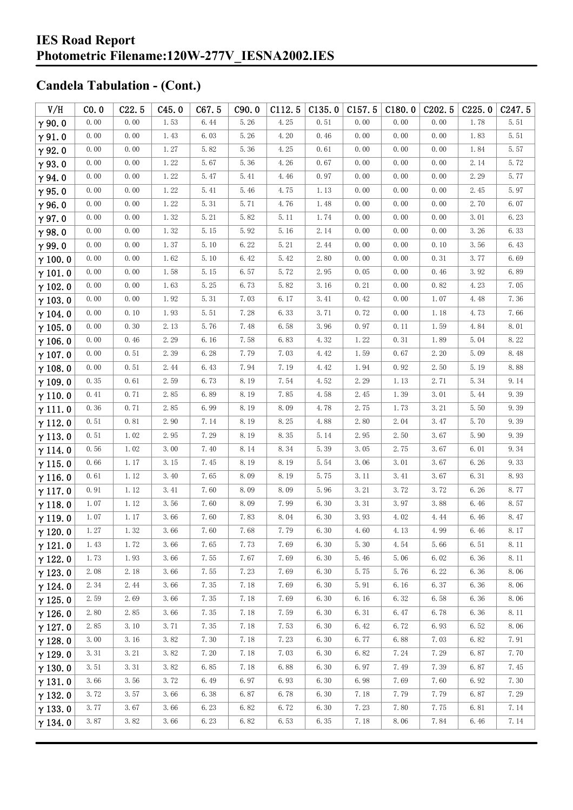#### **IES Road Report Photometric Filename:120W-277V\_IESNA2002.IES**

| V/H            | CO.0 | C22.5 | C45.0    | C67.5    | C90.0 | C112.5 | C135.0 | C157.5 | C180.0   | C <sub>202.5</sub> | C225.0 | C247.5 |
|----------------|------|-------|----------|----------|-------|--------|--------|--------|----------|--------------------|--------|--------|
| $\gamma$ 90.0  | 0.00 | 0.00  | 1.53     | 6.44     | 5.26  | 4.25   | 0.51   | 0.00   | 0.00     | 0.00               | 1.78   | 5.51   |
| $\gamma$ 91.0  | 0.00 | 0.00  | 1.43     | 6.03     | 5.26  | 4.20   | 0.46   | 0.00   | 0.00     | 0.00               | 1.83   | 5.51   |
| $\gamma$ 92.0  | 0.00 | 0.00  | 1.27     | 5.82     | 5.36  | 4.25   | 0.61   | 0.00   | 0.00     | 0.00               | 1.84   | 5.57   |
| $\gamma$ 93.0  | 0.00 | 0.00  | 1.22     | 5.67     | 5.36  | 4.26   | 0.67   | 0.00   | 0.00     | 0.00               | 2.14   | 5.72   |
| $\gamma$ 94.0  | 0.00 | 0.00  | 1.22     | 5.47     | 5.41  | 4.46   | 0.97   | 0.00   | 0.00     | 0.00               | 2.29   | 5.77   |
| $\gamma$ 95.0  | 0.00 | 0.00  | 1.22     | 5.41     | 5.46  | 4.75   | 1.13   | 0.00   | 0.00     | 0.00               | 2.45   | 5.97   |
| $\gamma$ 96.0  | 0.00 | 0.00  | 1.22     | 5.31     | 5.71  | 4.76   | 1.48   | 0.00   | 0.00     | 0.00               | 2.70   | 6.07   |
| $\gamma$ 97.0  | 0.00 | 0.00  | 1.32     | 5.21     | 5.82  | 5.11   | 1.74   | 0.00   | 0.00     | 0.00               | 3.01   | 6.23   |
| $\gamma$ 98.0  | 0.00 | 0.00  | 1.32     | 5.15     | 5.92  | 5.16   | 2.14   | 0.00   | 0.00     | 0.00               | 3.26   | 6.33   |
| $\gamma$ 99.0  | 0.00 | 0.00  | 1.37     | 5.10     | 6.22  | 5.21   | 2.44   | 0.00   | 0.00     | 0.10               | 3.56   | 6.43   |
| $\gamma$ 100.0 | 0.00 | 0.00  | 1.62     | 5.10     | 6.42  | 5.42   | 2.80   | 0.00   | 0.00     | 0.31               | 3.77   | 6.69   |
| $\gamma$ 101.0 | 0.00 | 0.00  | 1.58     | 5.15     | 6.57  | 5.72   | 2.95   | 0.05   | 0.00     | 0.46               | 3.92   | 6.89   |
| $\gamma$ 102.0 | 0.00 | 0.00  | 1.63     | 5.25     | 6.73  | 5.82   | 3.16   | 0.21   | 0.00     | 0.82               | 4.23   | 7.05   |
| $\gamma$ 103.0 | 0.00 | 0.00  | 1.92     | 5.31     | 7.03  | 6.17   | 3.41   | 0.42   | 0.00     | 1.07               | 4.48   | 7.36   |
| $\gamma$ 104.0 | 0.00 | 0.10  | $1.\,93$ | $5.\,51$ | 7.28  | 6.33   | 3.71   | 0.72   | 0.00     | 1.18               | 4.73   | 7.66   |
| $\gamma$ 105.0 | 0.00 | 0.30  | 2.13     | 5.76     | 7.48  | 6.58   | 3.96   | 0.97   | 0.11     | 1.59               | 4.84   | 8.01   |
| $\gamma$ 106.0 | 0.00 | 0.46  | 2.29     | 6.16     | 7.58  | 6.83   | 4.32   | 1.22   | 0.31     | 1.89               | 5.04   | 8.22   |
| $\gamma$ 107.0 | 0.00 | 0.51  | 2.39     | 6.28     | 7.79  | 7.03   | 4.42   | 1.59   | 0.67     | 2.20               | 5.09   | 8.48   |
| $\gamma$ 108.0 | 0.00 | 0.51  | 2.44     | 6.43     | 7.94  | 7.19   | 4.42   | 1.94   | 0.92     | 2.50               | 5.19   | 8.88   |
| $\gamma$ 109.0 | 0.35 | 0.61  | 2.59     | 6.73     | 8.19  | 7.54   | 4.52   | 2.29   | 1.13     | 2.71               | 5.34   | 9.14   |
| $\gamma$ 110.0 | 0.41 | 0.71  | 2.85     | 6.89     | 8.19  | 7.85   | 4.58   | 2.45   | 1.39     | 3.01               | 5.44   | 9.39   |
| $\gamma$ 111.0 | 0.36 | 0.71  | 2.85     | 6.99     | 8.19  | 8.09   | 4.78   | 2.75   | 1.73     | 3.21               | 5.50   | 9.39   |
| $\gamma$ 112.0 | 0.51 | 0.81  | 2.90     | 7.14     | 8.19  | 8.25   | 4.88   | 2.80   | 2.04     | 3.47               | 5.70   | 9.39   |
| $\gamma$ 113.0 | 0.51 | 1.02  | 2.95     | 7.29     | 8.19  | 8.35   | 5.14   | 2.95   | 2.50     | 3.67               | 5.90   | 9.39   |
| $\gamma$ 114.0 | 0.56 | 1.02  | 3.00     | 7.40     | 8.14  | 8.34   | 5.39   | 3.05   | 2.75     | 3.67               | 6.01   | 9.34   |
| $\gamma$ 115.0 | 0.66 | 1.17  | 3.15     | 7.45     | 8.19  | 8.19   | 5.54   | 3.06   | 3.01     | 3.67               | 6.26   | 9.33   |
| $\gamma$ 116.0 | 0.61 | 1.12  | 3.40     | 7.65     | 8.09  | 8.19   | 5.75   | 3.11   | 3.41     | 3.67               | 6.31   | 8.93   |
| $\gamma$ 117.0 | 0.91 | 1.12  | 3.41     | 7.60     | 8.09  | 8.09   | 5.96   | 3.21   | 3.72     | 3.72               | 6.26   | 8.77   |
| $\gamma$ 118.0 | 1.07 | 1.12  | 3.56     | 7.60     | 8.09  | 7.99   | 6.30   | 3.31   | 3.97     | 3.88               | 6.46   | 8.57   |
| $\gamma$ 119.0 | 1.07 | 1.17  | 3.66     | 7.60     | 7.83  | 8.04   | 6.30   | 3.93   | 4.02     | 4.44               | 6.46   | 8.47   |
| $\gamma$ 120.0 | 1.27 | 1.32  | $3.66$   | 7.60     | 7.68  | 7.79   | 6.30   | 4.60   | $4.13\,$ | 4.99               | 6.46   | 8.17   |
| $\gamma$ 121.0 | 1.43 | 1.72  | 3.66     | 7.65     | 7.73  | 7.69   | 6.30   | 5.30   | 4.54     | 5.66               | 6.51   | 8.11   |
| $\gamma$ 122.0 | 1.73 | 1.93  | 3.66     | 7.55     | 7.67  | 7.69   | 6.30   | 5.46   | 5.06     | 6.02               | 6.36   | 8.11   |
| $\gamma$ 123.0 | 2.08 | 2.18  | 3.66     | 7.55     | 7.23  | 7.69   | 6.30   | 5.75   | 5.76     | 6.22               | 6.36   | 8.06   |
| $\gamma$ 124.0 | 2.34 | 2.44  | 3.66     | 7.35     | 7.18  | 7.69   | 6.30   | 5.91   | 6.16     | 6.37               | 6.36   | 8.06   |
| $\gamma$ 125.0 | 2.59 | 2.69  | 3.66     | 7.35     | 7.18  | 7.69   | 6.30   | 6.16   | 6.32     | 6.58               | 6.36   | 8.06   |
| $\gamma$ 126.0 | 2.80 | 2.85  | 3.66     | 7.35     | 7.18  | 7.59   | 6.30   | 6.31   | 6.47     | 6.78               | 6.36   | 8.11   |
| $\gamma$ 127.0 | 2.85 | 3.10  | 3.71     | 7.35     | 7.18  | 7.53   | 6.30   | 6.42   | 6.72     | 6.93               | 6.52   | 8.06   |
| $\gamma$ 128.0 | 3.00 | 3.16  | 3.82     | 7.30     | 7.18  | 7.23   | 6.30   | 6.77   | 6.88     | 7.03               | 6.82   | 7.91   |
| $\gamma$ 129.0 | 3.31 | 3.21  | 3.82     | 7.20     | 7.18  | 7.03   | 6.30   | 6.82   | 7.24     | 7.29               | 6.87   | 7.70   |
| $\gamma$ 130.0 | 3.51 | 3.31  | 3.82     | 6.85     | 7.18  | 6.88   | 6.30   | 6.97   | 7.49     | 7.39               | 6.87   | 7.45   |
| $\gamma$ 131.0 | 3.66 | 3.56  | 3.72     | 6.49     | 6.97  | 6.93   | 6.30   | 6.98   | 7.69     | 7.60               | 6.92   | 7.30   |
| $\gamma$ 132.0 | 3.72 | 3.57  | 3.66     | 6.38     | 6.87  | 6.78   | 6.30   | 7.18   | 7.79     | 7.79               | 6.87   | 7.29   |
| $\gamma$ 133.0 | 3.77 | 3.67  | 3.66     | 6.23     | 6.82  | 6.72   | 6.30   | 7.23   | 7.80     | 7.75               | 6.81   | 7.14   |
| $\gamma$ 134.0 | 3.87 | 3.82  | 3.66     | 6.23     | 6.82  | 6.53   | 6.35   | 7.18   | 8.06     | 7.84               | 6.46   | 7.14   |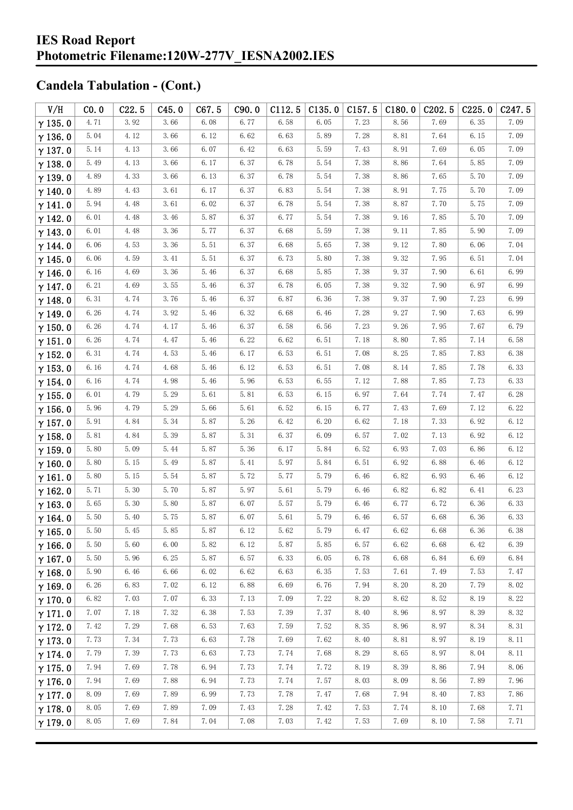| V/H            | CO.0     | C22.5 | C45.0 | C67.5 | C90.0 | C112.5 | C135.0 | C157.5 | C180.0 | C <sub>2</sub> 02.5 | C225.0 | C <sub>247.5</sub> |
|----------------|----------|-------|-------|-------|-------|--------|--------|--------|--------|---------------------|--------|--------------------|
| $\gamma$ 135.0 | 4.71     | 3.92  | 3.66  | 6.08  | 6.77  | 6.58   | 6.05   | 7.23   | 8.56   | 7.69                | 6.35   | 7.09               |
| $\gamma$ 136.0 | 5.04     | 4.12  | 3.66  | 6.12  | 6.62  | 6.63   | 5.89   | 7.28   | 8.81   | 7.64                | 6.15   | 7.09               |
| $\gamma$ 137.0 | 5.14     | 4.13  | 3.66  | 6.07  | 6.42  | 6.63   | 5.59   | 7.43   | 8.91   | 7.69                | 6.05   | 7.09               |
| $\gamma$ 138.0 | 5.49     | 4.13  | 3.66  | 6.17  | 6.37  | 6.78   | 5.54   | 7.38   | 8.86   | 7.64                | 5.85   | 7.09               |
| $\gamma$ 139.0 | 4.89     | 4.33  | 3.66  | 6.13  | 6.37  | 6.78   | 5.54   | 7.38   | 8.86   | 7.65                | 5.70   | 7.09               |
| $\gamma$ 140.0 | 4.89     | 4.43  | 3.61  | 6.17  | 6.37  | 6.83   | 5.54   | 7.38   | 8.91   | 7.75                | 5.70   | 7.09               |
| $\gamma$ 141.0 | 5.94     | 4.48  | 3.61  | 6.02  | 6.37  | 6.78   | 5.54   | 7.38   | 8.87   | 7.70                | 5.75   | 7.09               |
| $\gamma$ 142.0 | 6.01     | 4.48  | 3.46  | 5.87  | 6.37  | 6.77   | 5.54   | 7.38   | 9.16   | 7.85                | 5.70   | 7.09               |
| $\gamma$ 143.0 | 6.01     | 4.48  | 3.36  | 5.77  | 6.37  | 6.68   | 5.59   | 7.38   | 9.11   | 7.85                | 5.90   | 7.09               |
| $\gamma$ 144.0 | 6.06     | 4.53  | 3.36  | 5.51  | 6.37  | 6.68   | 5.65   | 7.38   | 9.12   | 7.80                | 6.06   | 7.04               |
| $\gamma$ 145.0 | 6.06     | 4.59  | 3.41  | 5.51  | 6.37  | 6.73   | 5.80   | 7.38   | 9.32   | 7.95                | 6.51   | 7.04               |
| $\gamma$ 146.0 | 6.16     | 4.69  | 3.36  | 5.46  | 6.37  | 6.68   | 5.85   | 7.38   | 9.37   | 7.90                | 6.61   | 6.99               |
| $\gamma$ 147.0 | 6.21     | 4.69  | 3.55  | 5.46  | 6.37  | 6.78   | 6.05   | 7.38   | 9.32   | 7.90                | 6.97   | 6.99               |
| $\gamma$ 148.0 | 6.31     | 4.74  | 3.76  | 5.46  | 6.37  | 6.87   | 6.36   | 7.38   | 9.37   | 7.90                | 7.23   | 6.99               |
| $\gamma$ 149.0 | 6.26     | 4.74  | 3.92  | 5.46  | 6.32  | 6.68   | 6.46   | 7.28   | 9.27   | 7.90                | 7.63   | 6.99               |
| $\gamma$ 150.0 | 6.26     | 4.74  | 4.17  | 5.46  | 6.37  | 6.58   | 6.56   | 7.23   | 9.26   | 7.95                | 7.67   | 6.79               |
| $\gamma$ 151.0 | 6.26     | 4.74  | 4.47  | 5.46  | 6.22  | 6.62   | 6.51   | 7.18   | 8.80   | 7.85                | 7.14   | 6.58               |
| $\gamma$ 152.0 | 6.31     | 4.74  | 4.53  | 5.46  | 6.17  | 6.53   | 6.51   | 7.08   | 8.25   | 7.85                | 7.83   | 6.38               |
| $\gamma$ 153.0 | 6.16     | 4.74  | 4.68  | 5.46  | 6.12  | 6.53   | 6.51   | 7.08   | 8.14   | 7.85                | 7.78   | 6.33               |
| $\gamma$ 154.0 | 6.16     | 4.74  | 4.98  | 5.46  | 5.96  | 6.53   | 6.55   | 7.12   | 7.88   | 7.85                | 7.73   | 6.33               |
| $\gamma$ 155.0 | 6.01     | 4.79  | 5.29  | 5.61  | 5.81  | 6.53   | 6.15   | 6.97   | 7.64   | 7.74                | 7.47   | 6.28               |
| $\gamma$ 156.0 | 5.96     | 4.79  | 5.29  | 5.66  | 5.61  | 6.52   | 6.15   | 6.77   | 7.43   | 7.69                | 7.12   | 6.22               |
| $\gamma$ 157.0 | 5.91     | 4.84  | 5.34  | 5.87  | 5.26  | 6.42   | 6.20   | 6.62   | 7.18   | 7.33                | 6.92   | 6.12               |
| $\gamma$ 158.0 | 5.81     | 4.84  | 5.39  | 5.87  | 5.31  | 6.37   | 6.09   | 6.57   | 7.02   | 7.13                | 6.92   | 6.12               |
| $\gamma$ 159.0 | 5.80     | 5.09  | 5.44  | 5.87  | 5.36  | 6.17   | 5.84   | 6.52   | 6.93   | 7.03                | 6.86   | 6.12               |
| $\gamma$ 160.0 | 5.80     | 5.15  | 5.49  | 5.87  | 5.41  | 5.97   | 5.84   | 6.51   | 6.92   | 6.88                | 6.46   | 6.12               |
| $\gamma$ 161.0 | 5.80     | 5.15  | 5.54  | 5.87  | 5.72  | 5.77   | 5.79   | 6.46   | 6.82   | 6.93                | 6.46   | 6.12               |
| $\gamma$ 162.0 | 5.71     | 5.30  | 5.70  | 5.87  | 5.97  | 5.61   | 5.79   | 6.46   | 6.82   | 6.82                | 6.41   | 6.23               |
| $\gamma$ 163.0 | 5.65     | 5.30  | 5.80  | 5.87  | 6.07  | 5.57   | 5.79   | 6.46   | 6.77   | 6.72                | 6.36   | 6.33               |
| $\gamma$ 164.0 | 5.50     | 5.40  | 5.75  | 5.87  | 6.07  | 5.61   | 5.79   | 6.46   | 6.57   | 6.68                | 6.36   | 6.33               |
| $\gamma$ 165.0 | $5.50\,$ | 5.45  | 5.85  | 5.87  | 6.12  | 5.62   | 5.79   | 6.47   | 6.62   | 6.68                | 6.36   | 6.38               |
| $\gamma$ 166.0 | 5.50     | 5.60  | 6.00  | 5.82  | 6.12  | 5.87   | 5.85   | 6.57   | 6.62   | 6.68                | 6.42   | 6.39               |
| $\gamma$ 167.0 | 5.50     | 5.96  | 6.25  | 5.87  | 6.57  | 6.33   | 6.05   | 6.78   | 6.68   | 6.84                | 6.69   | 6.84               |
| $\gamma$ 168.0 | 5.90     | 6.46  | 6.66  | 6.02  | 6.62  | 6.63   | 6.35   | 7.53   | 7.61   | 7.49                | 7.53   | 7.47               |
| $\gamma$ 169.0 | 6.26     | 6.83  | 7.02  | 6.12  | 6.88  | 6.69   | 6.76   | 7.94   | 8.20   | 8.20                | 7.79   | 8.02               |
| $\gamma$ 170.0 | 6.82     | 7.03  | 7.07  | 6.33  | 7.13  | 7.09   | 7.22   | 8.20   | 8.62   | 8.52                | 8.19   | 8.22               |
| $\gamma$ 171.0 | 7.07     | 7.18  | 7.32  | 6.38  | 7.53  | 7.39   | 7.37   | 8.40   | 8.96   | 8.97                | 8.39   | 8.32               |
| $\gamma$ 172.0 | 7.42     | 7.29  | 7.68  | 6.53  | 7.63  | 7.59   | 7.52   | 8.35   | 8.96   | 8.97                | 8.34   | 8.31               |
| $\gamma$ 173.0 | 7.73     | 7.34  | 7.73  | 6.63  | 7.78  | 7.69   | 7.62   | 8.40   | 8.81   | 8.97                | 8.19   | 8.11               |
| $\gamma$ 174.0 | 7.79     | 7.39  | 7.73  | 6.63  | 7.73  | 7.74   | 7.68   | 8.29   | 8.65   | 8.97                | 8.04   | 8.11               |
| $\gamma$ 175.0 | 7.94     | 7.69  | 7.78  | 6.94  | 7.73  | 7.74   | 7.72   | 8.19   | 8.39   | 8.86                | 7.94   | 8.06               |
| $\gamma$ 176.0 | 7.94     | 7.69  | 7.88  | 6.94  | 7.73  | 7.74   | 7.57   | 8.03   | 8.09   | 8.56                | 7.89   | 7.96               |
| $\gamma$ 177.0 | 8.09     | 7.69  | 7.89  | 6.99  | 7.73  | 7.78   | 7.47   | 7.68   | 7.94   | 8.40                | 7.83   | 7.86               |
| $\gamma$ 178.0 | 8.05     | 7.69  | 7.89  | 7.09  | 7.43  | 7.28   | 7.42   | 7.53   | 7.74   | 8.10                | 7.68   | 7.71               |
| $\gamma$ 179.0 | 8.05     | 7.69  | 7.84  | 7.04  | 7.08  | 7.03   | 7.42   | 7.53   | 7.69   | 8.10                | 7.58   | 7.71               |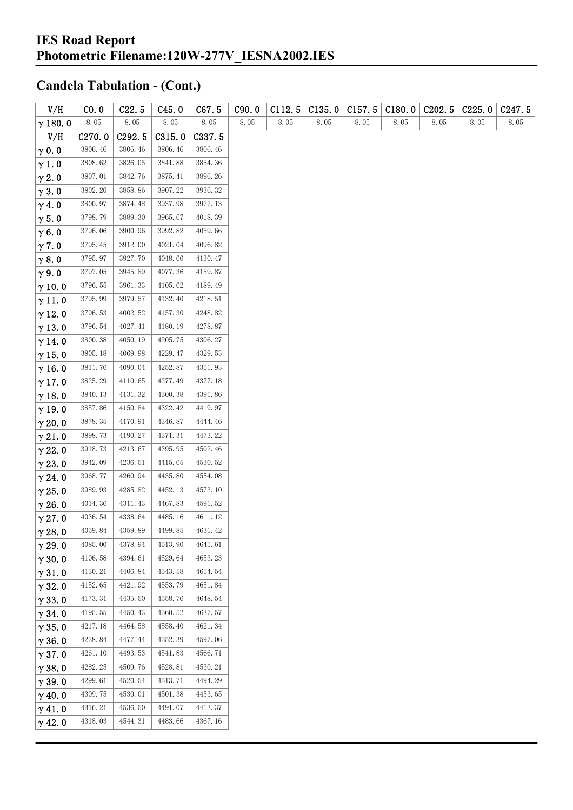| V/H            | CO.0    | C22.5   | C45.0   | C67.5   | C90.0 | C112.5 | C135.0 | C157.5 | C180.0 | C <sub>2</sub> 02.5 | C225.0 | C <sub>247.5</sub> |
|----------------|---------|---------|---------|---------|-------|--------|--------|--------|--------|---------------------|--------|--------------------|
| $\gamma$ 180.0 | 8.05    | 8.05    | 8.05    | 8.05    | 8.05  | 8.05   | 8.05   | 8.05   | 8.05   | 8.05                | 8.05   | 8.05               |
| V/H            | C270.0  | C292.5  | C315.0  | C337.5  |       |        |        |        |        |                     |        |                    |
| $\gamma$ 0.0   | 3806.46 | 3806.46 | 3806.46 | 3806.46 |       |        |        |        |        |                     |        |                    |
| $\gamma$ 1.0   | 3808.62 | 3826.05 | 3841.88 | 3854.36 |       |        |        |        |        |                     |        |                    |
| $\gamma$ 2.0   | 3807.01 | 3842.76 | 3875.41 | 3896.26 |       |        |        |        |        |                     |        |                    |
| $\gamma$ 3.0   | 3802.20 | 3858.86 | 3907.22 | 3936.32 |       |        |        |        |        |                     |        |                    |
| $\gamma$ 4.0   | 3800.97 | 3874.48 | 3937.98 | 3977.13 |       |        |        |        |        |                     |        |                    |
| $\gamma$ 5.0   | 3798.79 | 3889.30 | 3965.67 | 4018.39 |       |        |        |        |        |                     |        |                    |
| $\gamma$ 6.0   | 3796.06 | 3900.96 | 3992.82 | 4059.66 |       |        |        |        |        |                     |        |                    |
| $\gamma$ 7.0   | 3795.45 | 3912.00 | 4021.04 | 4096.82 |       |        |        |        |        |                     |        |                    |
| $\gamma$ 8.0   | 3795.97 | 3927.70 | 4048.60 | 4130.47 |       |        |        |        |        |                     |        |                    |
| $\gamma$ 9.0   | 3797.05 | 3945.89 | 4077.36 | 4159.87 |       |        |        |        |        |                     |        |                    |
| $\gamma$ 10.0  | 3796.55 | 3961.33 | 4105.62 | 4189.49 |       |        |        |        |        |                     |        |                    |
| $\gamma$ 11.0  | 3795.99 | 3979.57 | 4132.40 | 4218.51 |       |        |        |        |        |                     |        |                    |
| $\gamma$ 12.0  | 3796.53 | 4002.52 | 4157.30 | 4248.82 |       |        |        |        |        |                     |        |                    |
| $\gamma$ 13.0  | 3796.54 | 4027.41 | 4180.19 | 4278.87 |       |        |        |        |        |                     |        |                    |
| $\gamma$ 14.0  | 3800.38 | 4050.19 | 4205.75 | 4306.27 |       |        |        |        |        |                     |        |                    |
| $\gamma$ 15.0  | 3805.18 | 4069.98 | 4229.47 | 4329.53 |       |        |        |        |        |                     |        |                    |
| $\gamma$ 16.0  | 3811.76 | 4090.04 | 4252.87 | 4351.93 |       |        |        |        |        |                     |        |                    |
| $\gamma$ 17.0  | 3825.29 | 4110.65 | 4277.49 | 4377.18 |       |        |        |        |        |                     |        |                    |
| $\gamma$ 18.0  | 3840.13 | 4131.32 | 4300.38 | 4395.86 |       |        |        |        |        |                     |        |                    |
| $\gamma$ 19.0  | 3857.86 | 4150.84 | 4322.42 | 4419.97 |       |        |        |        |        |                     |        |                    |
| $\gamma$ 20.0  | 3878.35 | 4170.91 | 4346.87 | 4444.46 |       |        |        |        |        |                     |        |                    |
| $\gamma$ 21.0  | 3898.73 | 4190.27 | 4371.31 | 4473.22 |       |        |        |        |        |                     |        |                    |
| $\gamma$ 22.0  | 3918.73 | 4213.67 | 4395.95 | 4502.46 |       |        |        |        |        |                     |        |                    |
| $\gamma$ 23.0  | 3942.09 | 4236.51 | 4415.65 | 4530.52 |       |        |        |        |        |                     |        |                    |
| $\gamma$ 24.0  | 3968.77 | 4260.94 | 4435.80 | 4554.08 |       |        |        |        |        |                     |        |                    |
| $\gamma$ 25.0  | 3989.93 | 4285.82 | 4452.13 | 4573.10 |       |        |        |        |        |                     |        |                    |
| $\gamma$ 26.0  | 4014.36 | 4311.43 | 4467.83 | 4591.52 |       |        |        |        |        |                     |        |                    |
| $\gamma$ 27.0  | 4036.54 | 4338.64 | 4485.16 | 4611.12 |       |        |        |        |        |                     |        |                    |
| $\gamma$ 28.0  | 4059.84 | 4359.89 | 4499.85 | 4631.42 |       |        |        |        |        |                     |        |                    |
| $\gamma$ 29.0  | 4085.00 | 4378.94 | 4513.90 | 4645.61 |       |        |        |        |        |                     |        |                    |
| $\gamma$ 30.0  | 4106.58 | 4394.61 | 4529.64 | 4653.23 |       |        |        |        |        |                     |        |                    |
| $\gamma$ 31.0  | 4130.21 | 4406.84 | 4543.58 | 4654.54 |       |        |        |        |        |                     |        |                    |
| $\gamma$ 32.0  | 4152.65 | 4421.92 | 4553.79 | 4651.84 |       |        |        |        |        |                     |        |                    |
| $\gamma$ 33.0  | 4173.31 | 4435.50 | 4558.76 | 4648.54 |       |        |        |        |        |                     |        |                    |
| $\gamma$ 34.0  | 4195.55 | 4450.43 | 4560.52 | 4637.57 |       |        |        |        |        |                     |        |                    |
| $\gamma$ 35.0  | 4217.18 | 4464.58 | 4558.40 | 4621.34 |       |        |        |        |        |                     |        |                    |
| $\gamma$ 36.0  | 4238.84 | 4477.44 | 4552.39 | 4597.06 |       |        |        |        |        |                     |        |                    |
| $\gamma$ 37.0  | 4261.10 | 4493.53 | 4541.83 | 4566.71 |       |        |        |        |        |                     |        |                    |
| $\gamma$ 38.0  | 4282.25 | 4509.76 | 4528.81 | 4530.21 |       |        |        |        |        |                     |        |                    |
| $\gamma$ 39.0  | 4299.61 | 4520.54 | 4513.71 | 4494.29 |       |        |        |        |        |                     |        |                    |
| $\gamma$ 40.0  | 4309.75 | 4530.01 | 4501.38 | 4453.65 |       |        |        |        |        |                     |        |                    |
| $\gamma$ 41.0  | 4316.21 | 4536.50 | 4491.07 | 4413.37 |       |        |        |        |        |                     |        |                    |
| $\gamma$ 42.0  | 4318.03 | 4544.31 | 4483.66 | 4367.16 |       |        |        |        |        |                     |        |                    |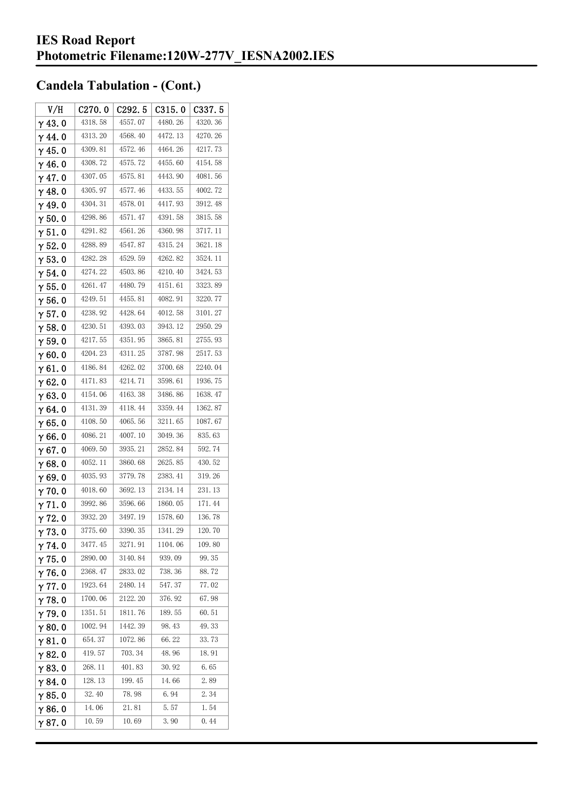| V/H            | C270.0  | C <sub>292.5</sub> | C315.0  | C337.5  |
|----------------|---------|--------------------|---------|---------|
| $\gamma$ 43.0  | 4318.58 | 4557.07            | 4480.26 | 4320.36 |
| $\gamma$ 44.0  | 4313.20 | 4568.40            | 4472.13 | 4270.26 |
| $\gamma$ 45. 0 | 4309.81 | 4572.46            | 4464.26 | 4217.73 |
| γ46.0          | 4308.72 | 4575.72            | 4455.60 | 4154.58 |
| $\gamma$ 47. 0 | 4307.05 | 4575.81            | 4443.90 | 4081.56 |
| $\gamma$ 48. 0 | 4305.97 | 4577.46            | 4433.55 | 4002.72 |
| $\gamma$ 49.0  | 4304.31 | 4578.01            | 4417.93 | 3912.48 |
| $\gamma$ 50.0  | 4298.86 | 4571.47            | 4391.58 | 3815.58 |
| $\gamma$ 51. 0 | 4291.82 | 4561.26            | 4360.98 | 3717.11 |
| $\gamma$ 52. 0 | 4288.89 | 4547.87            | 4315.24 | 3621.18 |
| $\gamma$ 53. 0 | 4282.28 | 4529.59            | 4262.82 | 3524.11 |
| $\gamma$ 54.0  | 4274.22 | 4503.86            | 4210.40 | 3424.53 |
| $\gamma$ 55.0  | 4261.47 | 4480.79            | 4151.61 | 3323.89 |
| $\gamma$ 56.0  | 4249.51 | 4455.81            | 4082.91 | 3220.77 |
| $\gamma$ 57.0  | 4238.92 | 4428.64            | 4012.58 | 3101.27 |
| $\gamma$ 58. 0 | 4230.51 | 4393.03            | 3943.12 | 2950.29 |
| $\gamma$ 59.0  | 4217.55 | 4351.95            | 3865.81 | 2755.93 |
| γ60.0          | 4204.23 | 4311.25            | 3787.98 | 2517.53 |
| $\gamma$ 61. 0 | 4186.84 | 4262.02            | 3700.68 | 2240.04 |
| $\gamma$ 62. 0 | 4171.83 | 4214.71            | 3598.61 | 1936.75 |
| $\gamma$ 63.0  | 4154.06 | 4163.38            | 3486.86 | 1638.47 |
| γ64.0          | 4131.39 | 4118.44            | 3359.44 | 1362.87 |
| γ65.0          | 4108.50 | 4065.56            | 3211.65 | 1087.67 |
| $\gamma$ 66.0  | 4086.21 | 4007.10            | 3049.36 | 835.63  |
| $\gamma$ 67.0  | 4069.50 | 3935.21            | 2852.84 | 592.74  |
| γ68.0          | 4052.11 | 3860.68            | 2625.85 | 430.52  |
| $\gamma$ 69.0  | 4035.93 | 3779.78            | 2383.41 | 319.26  |
| $\gamma$ 70.0  | 4018.60 | 3692.13            | 2134.14 | 231.13  |
| $\gamma$ 71.0  | 3992.86 | 3596.66            | 1860.05 | 171.44  |
| γ72.0          | 3932.20 | 3497.19            | 1578.60 | 136.78  |
| $\gamma$ 73. 0 | 3775.60 | 3390.35            | 1341.29 | 120.70  |
| γ74. O         | 3477.45 | 3271.91            | 1104.06 | 109.80  |
| $\gamma$ 75.0  | 2890.00 | 3140.84            | 939.09  | 99.35   |
| $\gamma$ 76. 0 | 2368.47 | 2833.02            | 738.36  | 88.72   |
| $\gamma$ 77.0  | 1923.64 | 2480.14            | 547.37  | 77.02   |
| $\gamma$ 78.0  | 1700.06 | 2122.20            | 376.92  | 67.98   |
| $\gamma$ 79.0  | 1351.51 | 1811.76            | 189.55  | 60.51   |
| $\gamma$ 80.0  | 1002.94 | 1442.39            | 98.43   | 49.33   |
| $\gamma$ 81.0  | 654.37  | 1072.86            | 66.22   | 33.73   |
| $\gamma$ 82. 0 | 419.57  | 703.34             | 48.96   | 18.91   |
| $\gamma$ 83.0  | 268.11  | 401.83             | 30.92   | 6.65    |
| $\gamma$ 84. 0 | 128.13  | 199.45             | 14.66   | 2.89    |
| $\gamma$ 85. 0 | 32.40   | 78.98              | 6.94    | 2.34    |
| $\gamma$ 86.0  | 14.06   | 21.81              | 5.57    | 1.54    |
| γ87.0          | 10.59   | 10.69              | 3.90    | 0.44    |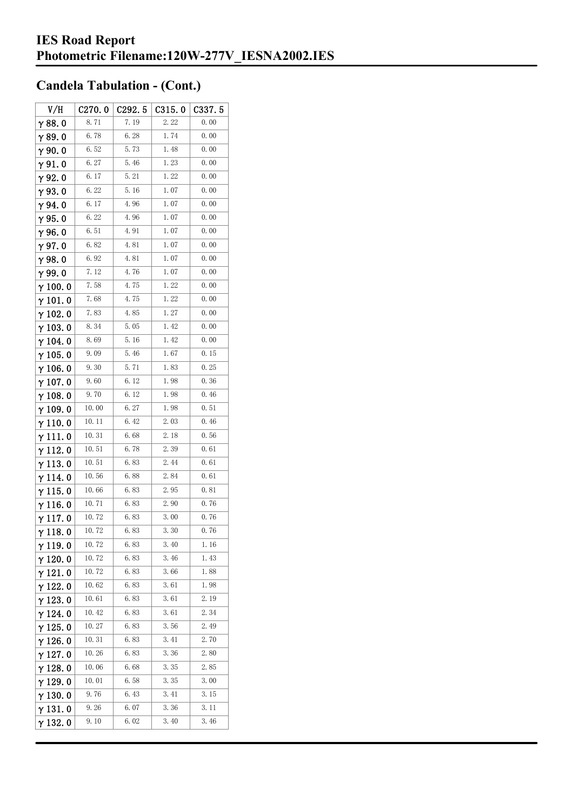| V/H             | C270.0 | C292.5 | C315.0 | C337. 5 |
|-----------------|--------|--------|--------|---------|
| $\gamma$ 88.0   | 8.71   | 7.19   | 2.22   | 0.00    |
| γ89.0           | 6.78   | 6.28   | 1.74   | 0.00    |
| $\gamma$ 90.0   | 6.52   | 5.73   | 1.48   | 0.00    |
| $\gamma$ 91.0   | 6.27   | 5.46   | 1.23   | 0.00    |
| $\gamma$ 92.0   | 6.17   | 5.21   | 1.22   | 0.00    |
| $\gamma$ 93. O  | 6.22   | 5.16   | 1.07   | 0.00    |
| γ94.0           | 6.17   | 4.96   | 1.07   | 0.00    |
| $\gamma$ 95.0   | 6.22   | 4.96   | 1.07   | 0.00    |
| γ96.0           | 6.51   | 4.91   | 1.07   | 0.00    |
| $\gamma$ 97.0   | 6.82   | 4.81   | 1.07   | 0.00    |
| $\gamma$ 98.0   | 6.92   | 4.81   | 1.07   | 0.00    |
| γ99.0           | 7.12   | 4.76   | 1.07   | 0.00    |
| $\gamma$ 100. 0 | 7.58   | 4.75   | 1.22   | 0.00    |
| $\gamma$ 101. 0 | 7.68   | 4.75   | 1.22   | 0.00    |
| $\gamma$ 102.0  | 7.83   | 4.85   | 1.27   | 0.00    |
| $\gamma$ 103.0  | 8.34   | 5.05   | 1.42   | 0.00    |
| $\gamma$ 104. 0 | 8.69   | 5.16   | 1.42   | 0.00    |
| $\gamma$ 105. 0 | 9.09   | 5.46   | 1.67   | 0.15    |
| $\gamma$ 106. 0 | 9.30   | 5.71   | 1.83   | 0.25    |
| $\gamma$ 107. 0 | 9.60   | 6.12   | 1.98   | 0.36    |
| $\gamma$ 108.0  | 9.70   | 6.12   | 1.98   | 0.46    |
| $\gamma$ 109.0  | 10.00  | 6.27   | 1.98   | 0.51    |
| $\gamma$ 110. 0 | 10.11  | 6.42   | 2.03   | 0.46    |
| γ111.0          | 10.31  | 6.68   | 2.18   | 0.56    |
| $\gamma$ 112. 0 | 10.51  | 6.78   | 2.39   | 0.61    |
| $\gamma$ 113.0  | 10.51  | 6.83   | 2.44   | 0.61    |
| $\gamma$ 114.0  | 10.56  | 6.88   | 2.84   | 0.61    |
| $\gamma$ 115.0  | 10.66  | 6.83   | 2.95   | 0.81    |
| γ116.0          | 10.71  | 6.83   | 2.90   | 0.76    |
| $\gamma$ 117.0  | 10.72  | 6.83   | 3.00   | 0.76    |
| $\gamma$ 118. 0 | 10.72  | 6. 83  | 3.30   | 0.76    |
| γ119.0          | 10.72  | 6.83   | 3.40   | 1.16    |
| $\gamma$ 120.0  | 10.72  | 6.83   | 3.46   | 1.43    |
| $\gamma$ 121.0  | 10. 72 | 6.83   | 3.66   | 1.88    |
| $\gamma$ 122. 0 | 10.62  | 6.83   | 3.61   | 1.98    |
| $\gamma$ 123.0  | 10.61  | 6.83   | 3.61   | 2.19    |
| γ 124. 0        | 10.42  | 6.83   | 3.61   | 2.34    |
| $\gamma$ 125. 0 | 10.27  | 6.83   | 3.56   | 2.49    |
| $\gamma$ 126. 0 | 10.31  | 6.83   | 3.41   | 2.70    |
| $\gamma$ 127.0  | 10.26  | 6.83   | 3.36   | 2.80    |
| $\gamma$ 128. 0 | 10.06  | 6. 68  | 3.35   | 2.85    |
| γ 129. 0        | 10.01  | 6.58   | 3.35   | 3.00    |
| $\gamma$ 130. 0 | 9.76   | 6.43   | 3.41   | 3.15    |
| γ131.0          | 9.26   | 6.07   | 3.36   | 3.11    |
| $\gamma$ 132. 0 | 9.10   | 6.02   | 3.40   | 3.46    |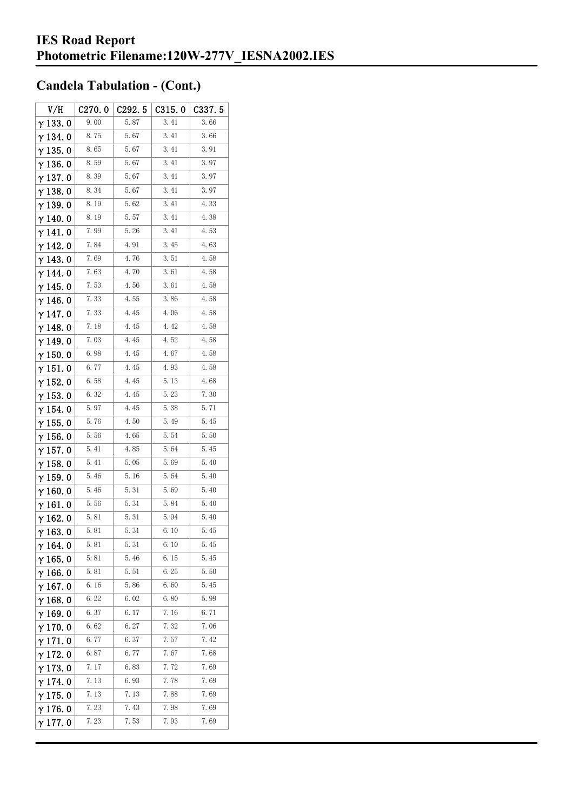| V/H             | C270.0 | C292.5 | C315.0 | C337.5 |
|-----------------|--------|--------|--------|--------|
| $\gamma$ 133.0  | 9.00   | 5.87   | 3.41   | 3.66   |
| $\gamma$ 134.0  | 8.75   | 5.67   | 3.41   | 3.66   |
| $\gamma$ 135.0  | 8.65   | 5.67   | 3.41   | 3.91   |
| $\gamma$ 136.0  | 8.59   | 5.67   | 3.41   | 3.97   |
| $\gamma$ 137. 0 | 8.39   | 5.67   | 3.41   | 3.97   |
| $\gamma$ 138. 0 | 8.34   | 5.67   | 3.41   | 3.97   |
| $\gamma$ 139.0  | 8.19   | 5.62   | 3.41   | 4.33   |
| $\gamma$ 140.0  | 8.19   | 5.57   | 3.41   | 4.38   |
| $\gamma$ 141.0  | 7.99   | 5.26   | 3.41   | 4.53   |
| $\gamma$ 142. 0 | 7.84   | 4.91   | 3.45   | 4.63   |
| $\gamma$ 143.0  | 7.69   | 4.76   | 3.51   | 4.58   |
| $\gamma$ 144. 0 | 7.63   | 4.70   | 3.61   | 4.58   |
| $\gamma$ 145. 0 | 7.53   | 4.56   | 3.61   | 4.58   |
| γ146.0          | 7.33   | 4.55   | 3.86   | 4.58   |
| γ 147. 0        | 7.33   | 4.45   | 4.06   | 4.58   |
| $\gamma$ 148. 0 | 7.18   | 4.45   | 4.42   | 4.58   |
| γ 149. 0        | 7.03   | 4.45   | 4.52   | 4.58   |
| $\gamma$ 150.0  | 6.98   | 4.45   | 4.67   | 4.58   |
| $\gamma$ 151.0  | 6.77   | 4.45   | 4.93   | 4.58   |
| $\gamma$ 152.0  | 6.58   | 4.45   | 5.13   | 4.68   |
| $\gamma$ 153. 0 | 6.32   | 4.45   | 5.23   | 7.30   |
| $\gamma$ 154. 0 | 5.97   | 4.45   | 5.38   | 5.71   |
| $\gamma$ 155. 0 | 5.76   | 4.50   | 5.49   | 5.45   |
| $\gamma$ 156. 0 | 5.56   | 4.65   | 5.54   | 5.50   |
| $\gamma$ 157.0  | 5.41   | 4.85   | 5.64   | 5.45   |
| $\gamma$ 158.0  | 5.41   | 5.05   | 5.69   | 5.40   |
| $\gamma$ 159.0  | 5.46   | 5.16   | 5.64   | 5.40   |
| $\gamma$ 160.0  | 5.46   | 5.31   | 5.69   | 5.40   |
| $\gamma$ 161. 0 | 5.56   | 5.31   | 5.84   | 5.40   |
| $\gamma$ 162.0  | 5.81   | 5.31   | 5.94   | 5.40   |
| $\gamma$ 163. 0 | 5.81   | 5.31   | 6.10   | 5.45   |
| $\gamma$ 164. 0 | 5.81   | 5.31   | 6.10   | 5.45   |
| $\gamma$ 165.0  | 5.81   | 5.46   | 6.15   | 5.45   |
| $\gamma$ 166.0  | 5.81   | 5.51   | 6.25   | 5.50   |
| $\gamma$ 167.0  | 6.16   | 5.86   | 6.60   | 5.45   |
| $\gamma$ 168.0  | 6.22   | 6.02   | 6.80   | 5.99   |
| $\gamma$ 169.0  | 6.37   | 6.17   | 7.16   | 6.71   |
| $\gamma$ 170.0  | 6.62   | 6.27   | 7.32   | 7.06   |
| $\gamma$ 171.0  | 6.77   | 6.37   | 7.57   | 7.42   |
| $\gamma$ 172. 0 | 6.87   | 6.77   | 7.67   | 7.68   |
| $\gamma$ 173.0  | 7.17   | 6.83   | 7.72   | 7.69   |
| $\gamma$ 174.0  | 7.13   | 6. 93  | 7.78   | 7.69   |
| $\gamma$ 175. 0 | 7.13   | 7.13   | 7.88   | 7.69   |
| $\gamma$ 176.0  | 7.23   | 7.43   | 7.98   | 7.69   |
| γ177.0          | 7.23   | 7.53   | 7.93   | 7.69   |